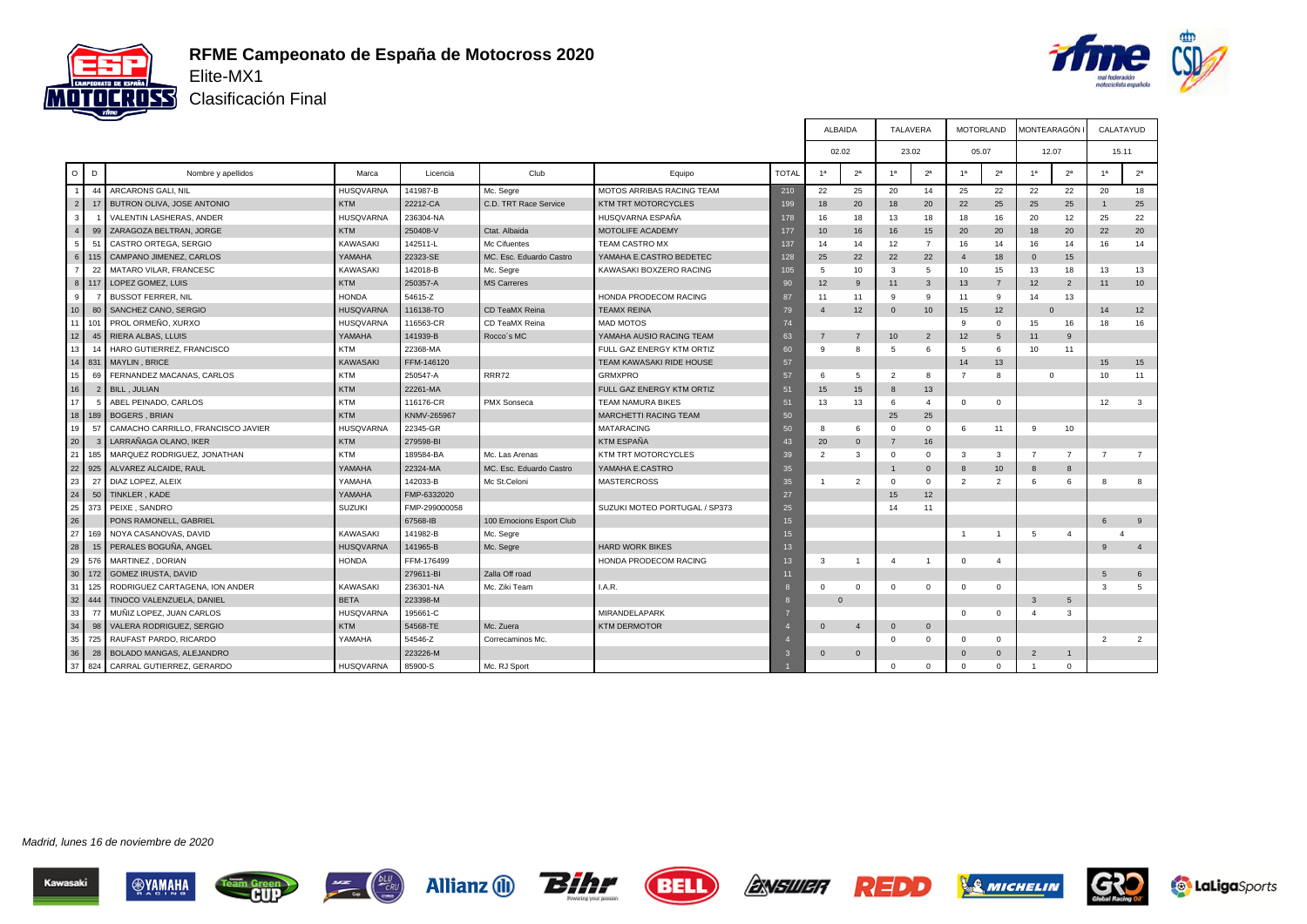



Clasificación Final

|                |                |                                    |                  |               |                          |                                  |              | ALBAIDA        |                | TALAVERA       |                | <b>MOTORLAND</b> |                | MONTEARAGÓN I  |                | CALATAYUD       |                |
|----------------|----------------|------------------------------------|------------------|---------------|--------------------------|----------------------------------|--------------|----------------|----------------|----------------|----------------|------------------|----------------|----------------|----------------|-----------------|----------------|
|                |                |                                    |                  |               |                          |                                  |              | 02.02          |                | 23.02          |                | 05.07            |                | 12.07          |                | 15.11           |                |
| $\circ$        | D              | Nombre y apellidos                 | Marca            | Licencia      | Club                     | Equipo                           | <b>TOTAL</b> | 1 <sup>a</sup> | 2 <sup>a</sup> | 1 <sup>a</sup> | 2 <sup>a</sup> | 1 <sup>a</sup>   | 2 <sup>a</sup> | 1 <sup>a</sup> | 2 <sup>a</sup> | 1 <sup>a</sup>  | 2 <sup>a</sup> |
| $\overline{1}$ | 44             | ARCARONS GALI, NIL                 | <b>HUSQVARNA</b> | 141987-B      | Mc. Segre                | <b>MOTOS ARRIBAS RACING TEAM</b> | 210          | 22             | 25             | 20             | 14             | 25               | 22             | 22             | 22             | 20              | 18             |
| $\overline{2}$ | 17             | <b>BUTRON OLIVA, JOSE ANTONIO</b>  | <b>KTM</b>       | 22212-CA      | C.D. TRT Race Service    | <b>KTM TRT MOTORCYCLES</b>       | 199          | 18             | 20             | 18             | 20             | 22               | 25             | 25             | 25             |                 | 25             |
| 3              |                | VALENTIN LASHERAS, ANDER           | <b>HUSQVARNA</b> | 236304-NA     |                          | HUSQVARNA ESPAÑA                 | 178          | 16             | 18             | 13             | 18             | 18               | 16             | 20             | 12             | 25              | 22             |
| $\overline{4}$ | 99             | ZARAGOZA BELTRAN, JORGE            | <b>KTM</b>       | 250408-V      | Ctat. Albaida            | MOTOLIFE ACADEMY                 | 177          | 10             | 16             | 16             | 15             | 20               | 20             | 18             | 20             | 22              | 20             |
| 5              | 51             | CASTRO ORTEGA, SERGIO              | KAWASAKI         | 142511-L      | Mc Cifuentes             | TEAM CASTRO MX                   | 137          | 14             | 14             | 12             | $\overline{7}$ | 16               | 14             | 16             | 14             | 16              | 14             |
| 6              | l 115          | CAMPANO JIMENEZ, CARLOS            | YAMAHA           | 22323-SE      | MC. Esc. Eduardo Castro  | YAMAHA E.CASTRO BEDETEC          | 128          | 25             | 22             | 22             | 22             | $\overline{4}$   | 18             | $\mathbf{0}$   | 15             |                 |                |
| $\overline{7}$ | 22             | MATARO VILAR, FRANCESC             | <b>KAWASAKI</b>  | 142018-B      | Mc. Segre                | KAWASAKI BOXZERO RACING          | 105          | 5              | 10             | 3              | 5              | 10               | 15             | 13             | 18             | 13              | 13             |
|                | $8$ 117        | LOPEZ GOMEZ, LUIS                  | <b>KTM</b>       | 250357-A      | <b>MS Carreres</b>       |                                  | 90           | 12             | 9              | 11             | $\mathbf{3}$   | 13               | $\overline{7}$ | 12             | $\overline{2}$ | 11              | 10             |
| 9              | $\overline{7}$ | <b>BUSSOT FERRER, NIL</b>          | <b>HONDA</b>     | 54615-Z       |                          | HONDA PRODECOM RACING            | 87           | 11             | 11             | 9              | 9              | 11               | 9              | 14             | 13             |                 |                |
| 10             | 80             | SANCHEZ CANO, SERGIO               | <b>HUSQVARNA</b> | 116138-TO     | CD TeaMX Reina           | <b>TEAMX REINA</b>               | 79           |                | 12             | $\mathbf 0$    | 10             | 15               | 12             | $\Omega$       |                | 14              | 12             |
| 11             | 101            | PROL ORMEÑO, XURXO                 | <b>HUSQVARNA</b> | 116563-CR     | CD TeaMX Reina           | <b>MAD MOTOS</b>                 | 74           |                |                |                |                | 9                | $\Omega$       | 15             | 16             | 18              | 16             |
| 12             | 45             | RIERA ALBAS, LLUIS                 | YAMAHA           | 141939-B      | Rocco's MC               | YAMAHA AUSIO RACING TEAM         | 63           | $\overline{7}$ | $\overline{7}$ | 10             | $\overline{2}$ | 12               | $\overline{5}$ | 11             | 9              |                 |                |
| 13             | 14             | HARO GUTIERREZ, FRANCISCO          | <b>KTM</b>       | 22368-MA      |                          | FULL GAZ ENERGY KTM ORTIZ        | 60           | 9              | 8              | 5              | 6              | $5\overline{5}$  | 6              | 10             | 11             |                 |                |
|                | 14 831         | MAYLIN, BRICE                      | <b>KAWASAKI</b>  | FFM-146120    |                          | TEAM KAWASAKI RIDE HOUSE         | 57           |                |                |                |                | 14               | 13             |                |                | 15              | 15             |
| 15             | 69             | FERNANDEZ MACANAS, CARLOS          | <b>KTM</b>       | 250547-A      | <b>RRR72</b>             | <b>GRMXPRO</b>                   | 57           | 6              | 5              | $\overline{2}$ | 8              | $\overline{7}$   | 8              | $\mathbf 0$    |                | 10              | 11             |
| 16             | $\overline{2}$ | <b>BILL, JULIAN</b>                | <b>KTM</b>       | 22261-MA      |                          | FULL GAZ ENERGY KTM ORTIZ        | 51           | 15             | 15             | 8              | 13             |                  |                |                |                |                 |                |
| 17             | 5              | ABEL PEINADO, CARLOS               | <b>KTM</b>       | 116176-CR     | PMX Sonseca              | <b>TEAM NAMURA BIKES</b>         | 51           | 13             | 13             | 6              | $\overline{4}$ | $\mathbf 0$      | $\mathbf 0$    |                |                | 12              | 3              |
|                | 18 189         | <b>BOGERS, BRIAN</b>               | <b>KTM</b>       | KNMV-265967   |                          | MARCHETTI RACING TEAM            | 50           |                |                | 25             | 25             |                  |                |                |                |                 |                |
| 19             | 57             | CAMACHO CARRILLO, FRANCISCO JAVIER | <b>HUSQVARNA</b> | 22345-GR      |                          | <b>MATARACING</b>                | 50           | 8              | 6              | $\Omega$       | $\Omega$       | 6                | 11             | 9              | 10             |                 |                |
| 20             |                | LARRAÑAGA OLANO, IKER              | <b>KTM</b>       | 279598-BI     |                          | <b>KTM ESPAÑA</b>                | 43           | 20             | $\mathbf{0}$   | 7              | 16             |                  |                |                |                |                 |                |
| 21             | 185            | MARQUEZ RODRIGUEZ, JONATHAN        | <b>KTM</b>       | 189584-BA     | Mc. Las Arenas           | KTM TRT MOTORCYCLES              | 39           | $\overline{2}$ | 3              | $^{\circ}$     | $\mathbf{0}$   | 3                | 3              | $\overline{7}$ | $\overline{7}$ | $\overline{7}$  | $\overline{7}$ |
| 22             | 925            | ALVAREZ ALCAIDE, RAUL              | YAMAHA           | 22324-MA      | MC. Esc. Eduardo Castro  | YAMAHA E.CASTRO                  | 35           |                |                |                | $\mathbf{0}$   | 8                | 10             | 8              | 8              |                 |                |
| 23             | 27             | DIAZ LOPEZ, ALEIX                  | YAMAHA           | 142033-B      | Mc St.Celoni             | <b>MASTERCROSS</b>               | 35           |                | $\mathcal{P}$  | $\Omega$       | $\mathbf{0}$   | $\overline{2}$   | $\overline{2}$ | 6              | 6              | 8               | 8              |
| 24             | 50             | TINKLER, KADE                      | YAMAHA           | FMP-6332020   |                          |                                  | 27           |                |                | 15             | 12             |                  |                |                |                |                 |                |
| 25             | 373            | PEIXE . SANDRO                     | <b>SUZUKI</b>    | FMP-299000058 |                          | SUZUKI MOTEO PORTUGAL / SP373    | 25           |                |                | 14             | 11             |                  |                |                |                |                 |                |
| 26             |                | PONS RAMONELL, GABRIEL             |                  | 67568-IB      | 100 Emocions Esport Club |                                  | 15           |                |                |                |                |                  |                |                |                | 6               | 9              |
| 27             | 169            | NOYA CASANOVAS, DAVID              | <b>KAWASAKI</b>  | 141982-B      | Mc. Segre                |                                  | 15           |                |                |                |                | -1               |                | 5              | $\overline{a}$ |                 |                |
| 28             | 15             | PERALES BOGUÑA, ANGEL              | <b>HUSQVARNA</b> | 141965-B      | Mc. Segre                | <b>HARD WORK BIKES</b>           | 13           |                |                |                |                |                  |                |                |                | 9               | $\overline{4}$ |
| 29             | 576            | MARTINEZ, DORIAN                   | <b>HONDA</b>     | FFM-176499    |                          | HONDA PRODECOM RACING            | 13           | 3              | $\overline{1}$ | $\overline{4}$ | -1             | $\mathbf 0$      | $\overline{4}$ |                |                |                 |                |
| 30             | 172            | GOMEZ IRUSTA, DAVID                |                  | 279611-BI     | Zalla Off road           |                                  | 11           |                |                |                |                |                  |                |                |                | $5\overline{5}$ | 6              |
| 31             | 125            | RODRIGUEZ CARTAGENA, ION ANDER     | KAWASAKI         | 236301-NA     | Mc. Ziki Team            | I.A.R.                           | -8           | $\Omega$       | $\Omega$       | $\Omega$       | $\mathbf{0}$   | $\Omega$         | $\mathbf{0}$   |                |                | 3               | $5 -$          |
| 32             | 444            | TINOCO VALENZUELA, DANIEL          | <b>BETA</b>      | 223398-M      |                          |                                  | 8            | $\Omega$       |                |                |                |                  |                | $\mathbf{3}$   | 5              |                 |                |
| 33             | 77             | MUÑIZ LOPEZ, JUAN CARLOS           | <b>HUSQVARNA</b> | 195661-C      |                          | MIRANDELAPARK                    |              |                |                |                |                | $\mathbf{0}$     | $\Omega$       | $\overline{4}$ | 3              |                 |                |
| 34             | 98             | VALERA RODRIGUEZ, SERGIO           | <b>KTM</b>       | 54568-TE      | Mc. Zuera                | <b>KTM DERMOTOR</b>              |              | $\mathbf{0}$   | $\overline{4}$ | $\mathbf 0$    | $\mathbf{0}$   |                  |                |                |                |                 |                |
| 35             | 725            | RAUFAST PARDO, RICARDO             | YAMAHA           | 54546-Z       | Correcaminos Mc.         |                                  |              |                |                | $\Omega$       | $\mathbf{0}$   | $\mathbf 0$      | $^{\circ}$     |                |                | $\overline{2}$  | $\overline{2}$ |
| 36             | 28             | BOLADO MANGAS, ALEJANDRO           |                  | 223226-M      |                          |                                  | ĸ            | $\Omega$       | $\mathbf{0}$   |                |                | $\Omega$         | $\Omega$       | $\overline{2}$ | $\overline{1}$ |                 |                |
| 37             | 824            | CARRAL GUTIERREZ, GERARDO          | <b>HUSQVARNA</b> | 85900-S       | Mc. RJ Sport             |                                  |              |                |                | $\Omega$       | $\Omega$       | $\Omega$         | $\mathbf{0}$   | $\overline{1}$ | $\mathbf 0$    |                 |                |













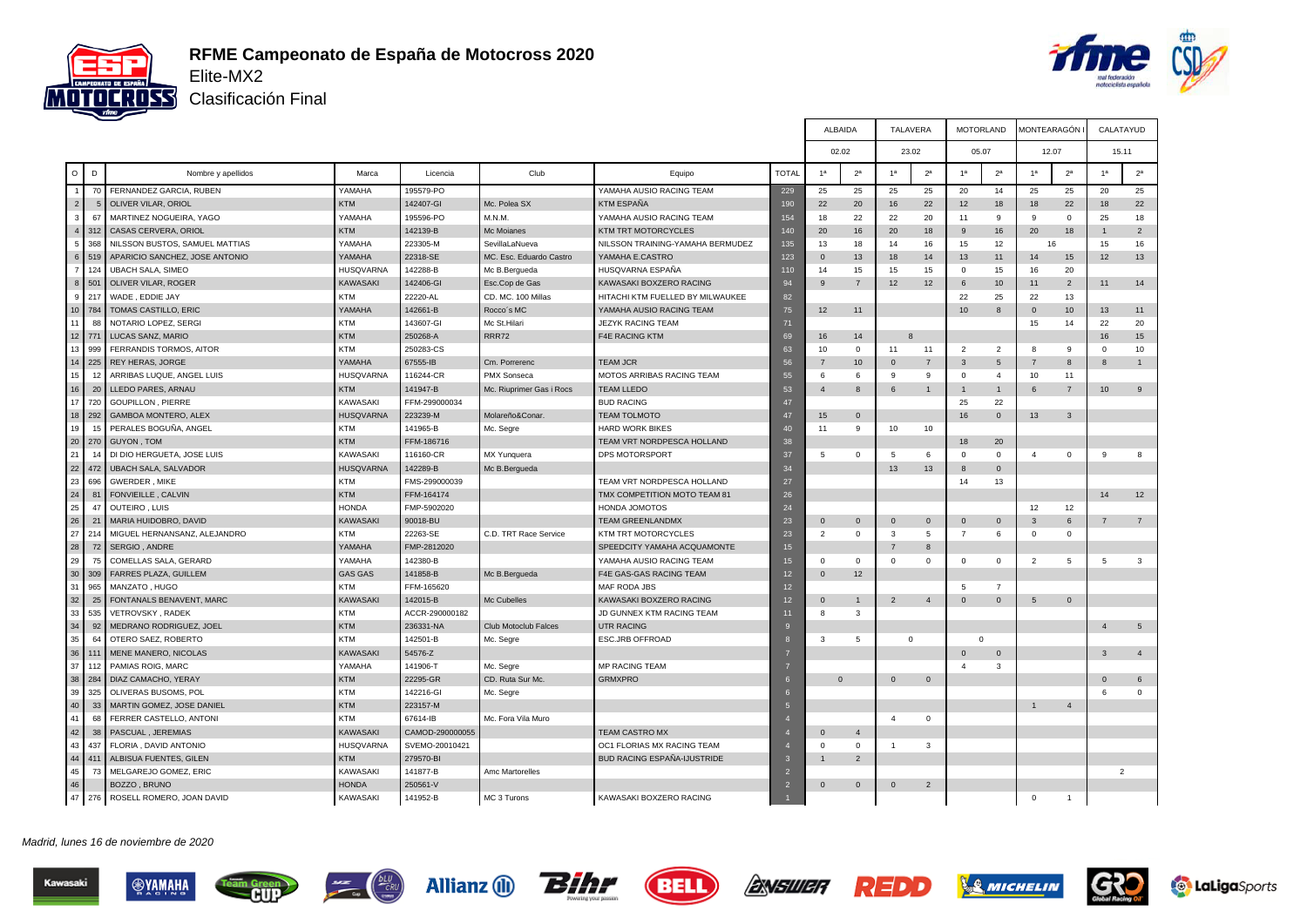



ALBAIDA TALAVERA MOTORLAND MONTEARAGÓN I CALATAYUD

Clasificación Final

|                  |                |                                |                  |                 |                             |                                    |                | 02.02          |                 |                | 23.02          | 05.07           |                | 12.07          |                | 15.11            |                |
|------------------|----------------|--------------------------------|------------------|-----------------|-----------------------------|------------------------------------|----------------|----------------|-----------------|----------------|----------------|-----------------|----------------|----------------|----------------|------------------|----------------|
| $\circ$          | D              | Nombre y apellidos             | Marca            | Licencia        | Club                        | Equipo                             | <b>TOTAL</b>   | 1 <sup>a</sup> | 2 <sup>a</sup>  | 1 <sup>a</sup> | 2 <sup>a</sup> | 1 <sup>a</sup>  | 2 <sup>a</sup> | 1 <sup>a</sup> | 2 <sup>a</sup> | 1 <sup>a</sup>   | 2 <sup>a</sup> |
| $\overline{1}$   | 70             | FERNANDEZ GARCIA, RUBEN        | YAMAHA           | 195579-PO       |                             | YAMAHA AUSIO RACING TEAM           | 229            | 25             | 25              | 25             | 25             | 20              | 14             | 25             | 25             | 20               | 25             |
| $\sqrt{2}$       | 5 <sub>5</sub> | <b>OLIVER VILAR, ORIOL</b>     | <b>KTM</b>       | 142407-GI       | Mc. Polea SX                | <b>KTM ESPAÑA</b>                  | 190            | 22             | 20              | 16             | 22             | 12              | 18             | 18             | 22             | 18               | 22             |
| 3                | 67             | MARTINEZ NOGUEIRA, YAGO        | YAMAHA           | 195596-PO       | M.N.M                       | YAMAHA AUSIO RACING TEAM           | 154            | 18             | 22              | 22             | 20             | 11              | 9              | 9              | $\mathbf 0$    | 25               | 18             |
| $\sqrt{4}$       | 312            | CASAS CERVERA, ORIOL           | <b>KTM</b>       | 142139-B        | Mc Moianes                  | KTM TRT MOTORCYCLES                | 140            | 20             | 16              | 20             | 18             | 9               | 16             | 20             | 18             |                  | $\overline{2}$ |
| 5                | 368            | NILSSON BUSTOS, SAMUEL MATTIAS | YAMAHA           | 223305-M        | SevillaLaNueva              | NILSSON TRAINING-YAMAHA BERMUDEZ   | 135            | 13             | 18              | 14             | 16             | 15              | 12             | 16             |                | 15               | 16             |
| $\,6\,$          | 519            | APARICIO SANCHEZ, JOSE ANTONIO | YAMAHA           | 22318-SE        | MC. Esc. Eduardo Castro     | YAMAHA E.CASTRO                    | 123            | $\mathbf{0}$   | 13              | 18             | 14             | 13              | 11             | 14             | 15             | 12               | 13             |
| $\overline{7}$   | 124            | <b>UBACH SALA, SIMEO</b>       | <b>HUSQVARNA</b> | 142288-B        | Mc B.Bergueda               | HUSQVARNA ESPAÑA                   | 110            | 14             | 15              | 15             | 15             | $\Omega$        | 15             | 16             | 20             |                  |                |
| $\boldsymbol{8}$ | 501            | OLIVER VILAR, ROGER            | <b>KAWASAKI</b>  | 142406-GI       | Esc.Cop de Gas              | KAWASAKI BOXZERO RACING            | 94             | 9              | $\overline{7}$  | 12             | 12             | 6               | 10             | 11             | $\overline{2}$ | 11               | 14             |
| 9                | 217            | WADE, EDDIE JAY                | <b>KTM</b>       | 22220-AL        | CD. MC. 100 Millas          | HITACHI KTM FUELLED BY MILWAUKEE   | 82             |                |                 |                |                | 22              | 25             | 22             | 13             |                  |                |
| 10               | 784            | TOMAS CASTILLO, ERIC           | YAMAHA           | 142661-B        | Rocco's MC                  | YAMAHA AUSIO RACING TEAM           | 75             | 12             | 11              |                |                | 10              | 8              | $\mathbf{0}$   | 10             | 13               | 11             |
| 11               | 88             | NOTARIO LOPEZ, SERGI           | <b>KTM</b>       | 143607-GI       | Mc St.Hilari                | <b>JEZYK RACING TEAM</b>           | 71             |                |                 |                |                |                 |                | 15             | 14             | 22               | 20             |
| 12               | 771            | LUCAS SANZ, MARIO              | <b>KTM</b>       | 250268-A        | RRR72                       | <b>F4E RACING KTM</b>              | 69             | 16             | 14              | 8              |                |                 |                |                |                | 16               | 15             |
| 13               | 999            | FERRANDIS TORMOS, AITOR        | <b>KTM</b>       | 250283-CS       |                             |                                    | 63             | 10             | $\mathbf 0$     | 11             | 11             | $\overline{2}$  | $\overline{2}$ | 8              | 9              | $\mathbf 0$      | 10             |
| 14               | 225            | <b>REY HERAS, JORGE</b>        | YAMAHA           | 67555-IB        | Cm. Porrerenc               | <b>TEAM JCR</b>                    | 56             |                | 10 <sup>°</sup> | $\mathbf 0$    | $\overline{7}$ | 3               | 5              | $\overline{7}$ | 8              | 8                | $\mathbf{1}$   |
| 15               | 12             | ARRIBAS LUQUE, ANGEL LUIS      | <b>HUSQVARNA</b> | 116244-CR       | PMX Sonseca                 | MOTOS ARRIBAS RACING TEAM          | 55             | 6              | 6               | 9              | 9              | $\Omega$        | $\overline{4}$ | 10             | 11             |                  |                |
| 16               | 20             | LLEDO PARES, ARNAU             | <b>KTM</b>       | 141947-B        | Mc. Riuprimer Gas i Rocs    | <b>TEAM LLEDO</b>                  | 53             | $\overline{4}$ | 8               | 6              | $\mathbf{1}$   |                 | 1              | 6              | $\overline{7}$ | 10 <sup>10</sup> | 9              |
| 17               | 720            | <b>GOUPILLON, PIERRE</b>       | KAWASAKI         | FFM-299000034   |                             | <b>BUD RACING</b>                  | 47             |                |                 |                |                | 25              | 22             |                |                |                  |                |
| 18               | 292            | GAMBOA MONTERO, ALEX           | <b>HUSQVARNA</b> | 223239-M        | Molareño&Conar              | <b>TEAM TOLMOTO</b>                | 47             | 15             | $\mathbf 0$     |                |                | 16              | $\mathbf{0}$   | 13             | $\mathbf{3}$   |                  |                |
| 19               | 15             | PERALES BOGUÑA, ANGEL          | <b>KTM</b>       | 141965-B        | Mc. Segre                   | <b>HARD WORK BIKES</b>             | 40             | 11             | 9               | 10             | 10             |                 |                |                |                |                  |                |
| 20               | 270            | <b>GUYON, TOM</b>              | <b>KTM</b>       | FFM-186716      |                             | TEAM VRT NORDPESCA HOLLAND         | 38             |                |                 |                |                | 18              | 20             |                |                |                  |                |
| 21               | 14             | DI DIO HERGUETA, JOSE LUIS     | KAWASAKI         | 116160-CR       | MX Yunquera                 | DPS MOTORSPORT                     | 37             | 5              | $\mathbf 0$     | 5              | 6              | $\Omega$        | $\Omega$       | $\overline{4}$ | $\mathbf 0$    | 9                | 8              |
| 22               | 472            | <b>UBACH SALA, SALVADOR</b>    | <b>HUSQVARNA</b> | 142289-B        | Mc B.Bergueda               |                                    | 34             |                |                 | 13             | 13             | 8               | $\mathbf{0}$   |                |                |                  |                |
| 23               | 696            | <b>GWERDER, MIKE</b>           | <b>KTM</b>       | FMS-299000039   |                             | TEAM VRT NORDPESCA HOLLAND         | 27             |                |                 |                |                | 14              | 13             |                |                |                  |                |
| 24               | 81             | FONVIEILLE, CALVIN             | <b>KTM</b>       | FFM-164174      |                             | TMX COMPETITION MOTO TEAM 81       | 26             |                |                 |                |                |                 |                |                |                | 14               | 12             |
| 25               | 47             | <b>OUTEIRO, LUIS</b>           | <b>HONDA</b>     | FMP-5902020     |                             | HONDA JOMOTOS                      | 24             |                |                 |                |                |                 |                | 12             | 12             |                  |                |
| 26               | 21             | MARIA HUIDOBRO, DAVID          | <b>KAWASAKI</b>  | 90018-BU        |                             | <b>TEAM GREENLANDMX</b>            | 23             | $\mathbf{0}$   | $\mathbf 0$     | $\mathbf 0$    | $\mathbf{0}$   | $\Omega$        | $\mathbf{0}$   | 3              | 6              | 7                | $\overline{7}$ |
| 27               | 214            | MIGUEL HERNANSANZ, ALEJANDRO   | <b>KTM</b>       | 22263-SE        | C.D. TRT Race Service       | KTM TRT MOTORCYCLES                | 23             | $\overline{2}$ | $\mathbf 0$     | 3              | 5              | $\overline{7}$  | 6              | $\mathbf 0$    | $^{\circ}$     |                  |                |
| 28               | 72             | SERGIO, ANDRE                  | YAMAHA           | FMP-2812020     |                             | SPEEDCITY YAMAHA ACQUAMONTE        | 15             |                |                 |                | 8              |                 |                |                |                |                  |                |
| 29               | 75             | COMELLAS SALA, GERARD          | YAMAHA           | 142380-B        |                             | YAMAHA AUSIO RACING TEAM           | 15             | $^{\circ}$     | $\mathbf 0$     | $\mathsf 0$    | $\mathbf 0$    | $\Omega$        | $\mathbf 0$    | $\overline{2}$ | 5              | 5                | 3              |
| 30               | 309            | <b>FARRES PLAZA, GUILLEM</b>   | <b>GAS GAS</b>   | 141858-B        | Mc B.Bergueda               | F4E GAS-GAS RACING TEAM            | 12             | $\mathbf{0}$   | 12              |                |                |                 |                |                |                |                  |                |
| 31               | 965            | MANZATO, HUGO                  | <b>KTM</b>       | FFM-165620      |                             | MAF RODA JBS                       | 12             |                |                 |                |                | $5\overline{5}$ | $\overline{7}$ |                |                |                  |                |
| 32               | 25             | FONTANALS BENAVENT, MARC       | <b>KAWASAKI</b>  | 142015-B        | Mc Cubelles                 | KAWASAKI BOXZERO RACING            | 12             | $\mathbf{0}$   | $\overline{1}$  | $\overline{2}$ | $\overline{4}$ | $\Omega$        | $\mathbf 0$    | 5              | $\mathbf 0$    |                  |                |
| 33               | 535            | VETROVSKY, RADEK               | <b>KTM</b>       | ACCR-290000182  |                             | JD GUNNEX KTM RACING TEAM          | 11             | 8              | 3               |                |                |                 |                |                |                |                  |                |
| 34               | 92             | MEDRANO RODRIGUEZ, JOEL        | <b>KTM</b>       | 236331-NA       | <b>Club Motoclub Falces</b> | <b>UTR RACING</b>                  |                |                |                 |                |                |                 |                |                |                | $\overline{4}$   | $\sqrt{5}$     |
| 35               | 64             | OTERO SAEZ, ROBERTO            | <b>KTM</b>       | 142501-B        | Mc. Segre                   | ESC.JRB OFFROAD                    |                | 3              | 5               |                | $\mathbf 0$    | $\Omega$        |                |                |                |                  |                |
| 36               | 111            | MENE MANERO, NICOLAS           | KAWASAKI         | 54576-Z         |                             |                                    |                |                |                 |                |                | $\Omega$        | $\mathbf 0$    |                |                | 3                | $\overline{4}$ |
| 37               | 112            | PAMIAS ROIG, MARC              | YAMAHA           | 141906-T        | Mc. Segre                   | <b>MP RACING TEAM</b>              |                |                |                 |                |                |                 | 3              |                |                |                  |                |
| 38               | 284            | DIAZ CAMACHO, YERAY            | <b>KTM</b>       | 22295-GR        | CD. Ruta Sur Mc.            | <b>GRMXPRO</b>                     |                | $\Omega$       |                 | $\Omega$       | $\mathbf{0}$   |                 |                |                |                | $\Omega$         | 6              |
| 39               | 325            | OLIVERAS BUSOMS, POL           | <b>KTM</b>       | 142216-GI       | Mc. Segre                   |                                    |                |                |                 |                |                |                 |                |                |                | 6                | $\Omega$       |
| 40               | 33             | MARTIN GOMEZ, JOSE DANIEL      | <b>KTM</b>       | 223157-M        |                             |                                    |                |                |                 |                |                |                 |                | $\overline{1}$ | $\overline{4}$ |                  |                |
| 41               | 68             | FERRER CASTELLO, ANTONI        | <b>KTM</b>       | 67614-IB        | Mc. Fora Vila Muro          |                                    |                |                |                 | 4              | $\mathbf 0$    |                 |                |                |                |                  |                |
| 42               | 38             | PASCUAL, JEREMIAS              | KAWASAKI         | CAMOD-290000055 |                             | <b>TEAM CASTRO MX</b>              |                | $\mathbf{0}$   | $\overline{4}$  |                |                |                 |                |                |                |                  |                |
| 43               | 437            | FLORIA, DAVID ANTONIO          | <b>HUSQVARNA</b> | SVEMO-20010421  |                             | OC1 FLORIAS MX RACING TEAM         |                | $\Omega$       | $\mathbf 0$     | $\overline{1}$ | 3              |                 |                |                |                |                  |                |
| 44               | 411            | ALBISUA FUENTES, GILEN         | <b>KTM</b>       | 279570-BI       |                             | <b>BUD RACING ESPAÑA-IJUSTRIDE</b> | $\mathbf{3}$   |                | $\overline{2}$  |                |                |                 |                |                |                |                  |                |
| 45               | 73             | MELGAREJO GOMEZ, ERIC          | <b>KAWASAKI</b>  | 141877-B        | Amc Martorelles             |                                    | $\mathcal{P}$  |                |                 |                |                |                 |                |                |                | 2                |                |
| 46               |                | BOZZO, BRUNO                   | <b>HONDA</b>     | 250561-V        |                             |                                    | $\overline{2}$ | $\mathbf{0}$   | $\mathbf{0}$    | $\mathbf 0$    | $\overline{2}$ |                 |                |                |                |                  |                |
|                  | 47 276         | ROSELL ROMERO, JOAN DAVID      | KAWASAKI         | 141952-B        | MC 3 Turons                 | KAWASAKI BOXZERO RACING            |                |                |                 |                |                |                 |                | $\Omega$       | $\overline{1}$ |                  |                |
|                  |                |                                |                  |                 |                             |                                    |                |                |                 |                |                |                 |                |                |                |                  |                |















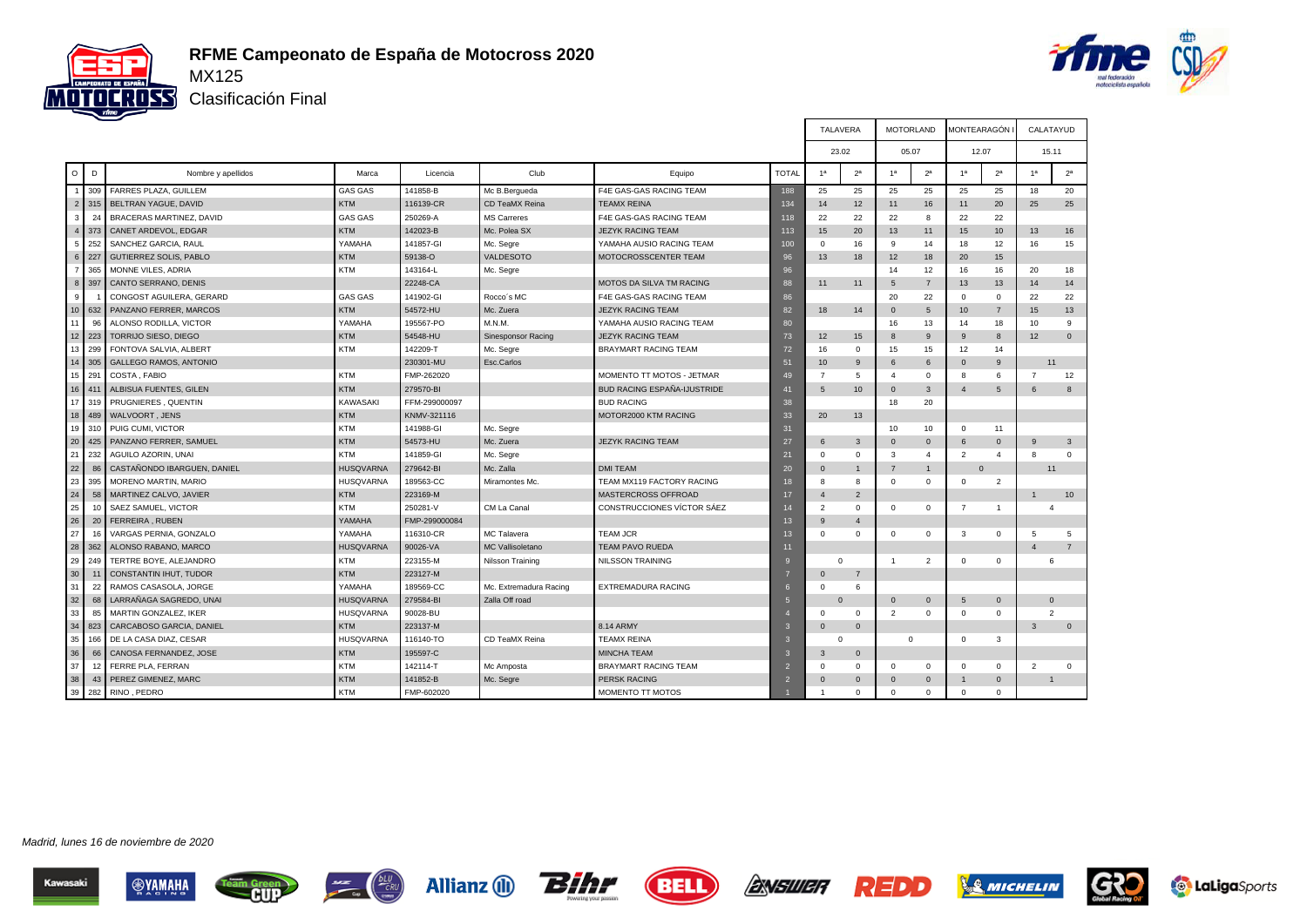



Clasificación Final

|                  |     |                               |                  |               |                           |                                    |                 | <b>TALAVERA</b>          |                |                | <b>MOTORLAND</b> | MONTEARAGÓN     |                |                | CALATAYUD      |
|------------------|-----|-------------------------------|------------------|---------------|---------------------------|------------------------------------|-----------------|--------------------------|----------------|----------------|------------------|-----------------|----------------|----------------|----------------|
|                  |     |                               |                  |               |                           |                                    |                 | 23.02                    |                |                | 05.07            | 12.07           |                |                | 15.11          |
| $\circ$          | D   | Nombre y apellidos            | Marca            | Licencia      | Club                      | Equipo                             | <b>TOTAL</b>    | 1 <sup>a</sup>           | 2 <sup>a</sup> | 1 <sup>a</sup> | 2 <sup>a</sup>   | 1 <sup>a</sup>  | 2 <sup>a</sup> | 1 <sup>a</sup> | 2 <sup>a</sup> |
|                  | 309 | FARRES PLAZA, GUILLEM         | <b>GAS GAS</b>   | 141858-B      | Mc B.Bergueda             | F4E GAS-GAS RACING TEAM            | 188             | 25                       | 25             | 25             | 25               | 25              | 25             | 18             | 20             |
| 2                | 315 | BELTRAN YAGUE, DAVID          | <b>KTM</b>       | 116139-CR     | CD TeaMX Reina            | <b>TEAMX REINA</b>                 | 134             | 14                       | 12             | 11             | 16               | 11              | 20             | 25             | 25             |
| 3                | 24  | BRACERAS MARTINEZ, DAVID      | <b>GAS GAS</b>   | 250269-A      | <b>MS Carreres</b>        | F4E GAS-GAS RACING TEAM            | 118             | 22                       | 22             | 22             | 8                | 22              | 22             |                |                |
| $\overline{4}$   | 373 | CANET ARDEVOL, EDGAR          | <b>KTM</b>       | 142023-B      | Mc. Polea SX              | <b>JEZYK RACING TEAM</b>           | 113             | 15                       | 20             | 13             | 11               | 15              | 10             | 13             | 16             |
| 5                | 252 | SANCHEZ GARCIA, RAUL          | YAMAHA           | 141857-GI     | Mc. Segre                 | YAMAHA AUSIO RACING TEAM           | 100             | $\Omega$                 | 16             | 9              | 14               | 18              | 12             | 16             | 15             |
| $6\phantom{1}$   | 227 | <b>GUTIERREZ SOLIS, PABLO</b> | <b>KTM</b>       | 59138-O       | VALDESOTO                 | MOTOCROSSCENTER TEAM               | 96              | 13                       | 18             | 12             | 18               | 20              | 15             |                |                |
| $\overline{7}$   | 365 | MONNE VILES, ADRIA            | <b>KTM</b>       | 143164-L      | Mc. Segre                 |                                    | 96              |                          |                | 14             | 12               | 16              | 16             | 20             | 18             |
| $\boldsymbol{8}$ | 397 | CANTO SERRANO, DENIS          |                  | 22248-CA      |                           | MOTOS DA SILVA TM RACING           | 88              | 11                       | 11             | 5              | $\overline{7}$   | 13              | 13             | 14             | 14             |
| 9                |     | CONGOST AGUILERA, GERARD      | <b>GAS GAS</b>   | 141902-GI     | Rocco's MC                | F4E GAS-GAS RACING TEAM            | 86              |                          |                | 20             | 22               | $\mathbf{0}$    | $\mathbf{0}$   | 22             | 22             |
| 10 <sup>10</sup> | 632 | PANZANO FERRER, MARCOS        | <b>KTM</b>       | 54572-HU      | Mc. Zuera                 | <b>JEZYK RACING TEAM</b>           | 82              | 18                       | 14             | $\Omega$       | $5\phantom{.0}$  | 10 <sup>°</sup> | $\overline{7}$ | 15             | 13             |
| 11               | 96  | ALONSO RODILLA, VICTOR        | YAMAHA           | 195567-PO     | M.N.M.                    | YAMAHA AUSIO RACING TEAM           | 80              |                          |                | 16             | 13               | 14              | 18             | 10             | 9              |
| 12               | 223 | TORRIJO SIESO, DIEGO          | <b>KTM</b>       | 54548-HU      | <b>Sinesponsor Racing</b> | <b>JEZYK RACING TEAM</b>           | 73              | 12                       | 15             | 8              | 9                | 9               | 8              | 12             | $\Omega$       |
| 13               | 299 | FONTOVA SALVIA, ALBERT        | <b>KTM</b>       | 142209-T      | Mc. Segre                 | <b>BRAYMART RACING TEAM</b>        | 72              | 16                       | $\mathbf 0$    | 15             | 15               | 12              | 14             |                |                |
| 14               | 305 | <b>GALLEGO RAMOS, ANTONIO</b> |                  | 230301-MU     | Esc.Carlos                |                                    | 51              | 10                       | 9              | 6              | 6                | $\Omega$        | 9              | 11             |                |
| 15               | 291 | COSTA, FABIO                  | <b>KTM</b>       | FMP-262020    |                           | MOMENTO TT MOTOS - JETMAR          | 49              | $\overline{7}$           | 5              | $\overline{4}$ | $\mathbf 0$      | 8               | 6              | $\overline{7}$ | 12             |
| 16               | 411 | ALBISUA FUENTES, GILEN        | <b>KTM</b>       | 279570-BI     |                           | <b>BUD RACING ESPAÑA-IJUSTRIDE</b> | 41              | .5                       | 10             | $\Omega$       | $\mathbf{3}$     | $\overline{4}$  | 5              | 6              | $\mathbf{8}$   |
| 17               | 319 | PRUGNIERES, QUENTIN           | KAWASAKI         | FFM-299000097 |                           | <b>BUD RACING</b>                  | 38              |                          |                | 18             | 20               |                 |                |                |                |
| 18               | 489 | WALVOORT, JENS                | <b>KTM</b>       | KNMV-321116   |                           | MOTOR2000 KTM RACING               | 33              | 20                       | 13             |                |                  |                 |                |                |                |
| 19               | 310 | PUIG CUMI, VICTOR             | <b>KTM</b>       | 141988-GI     | Mc. Segre                 |                                    | 31              |                          |                | 10             | 10               | $^{\circ}$      | 11             |                |                |
| 20               | 425 | PANZANO FERRER, SAMUEL        | <b>KTM</b>       | 54573-HU      | Mc. Zuera                 | <b>JEZYK RACING TEAM</b>           | 27              | 6                        | $\mathbf{3}$   | $\mathbf 0$    | $\mathbf 0$      | 6               | $\mathbf 0$    | 9              | 3              |
| 21               | 232 | AGUILO AZORIN, UNAI           | <b>KTM</b>       | 141859-GI     | Mc. Segre                 |                                    | 21              | $\Omega$                 | $\mathbf 0$    | 3              | $\overline{4}$   | $\overline{2}$  | $\overline{4}$ | 8              | $\Omega$       |
| 22               | 86  | CASTAÑONDO IBARGUEN, DANIEL   | <b>HUSQVARNA</b> | 279642-BI     | Mc. Zalla                 | <b>DMI TEAM</b>                    | 20              | $\Omega$                 | $\overline{1}$ | $\overline{7}$ | 1                | $\Omega$        |                | 11             |                |
| 23               | 395 | MORENO MARTIN, MARIO          | HUSQVARNA        | 189563-CC     | Miramontes Mc.            | TEAM MX119 FACTORY RACING          | 18              | $\mathbf{R}$             | 8              | $\Omega$       | $\Omega$         | $\mathbf{0}$    | $\overline{2}$ |                |                |
| 24               | 58  | MARTINEZ CALVO, JAVIER        | <b>KTM</b>       | 223169-M      |                           | MASTERCROSS OFFROAD                | 17              | $\overline{4}$           | $\overline{2}$ |                |                  |                 |                | $\overline{1}$ | 10             |
| 25               | 10  | SAEZ SAMUEL, VICTOR           | <b>KTM</b>       | 250281-V      | CM La Canal               | CONSTRUCCIONES VÍCTOR SÁEZ         | 14              | $\overline{\phantom{0}}$ | $\mathbf 0$    | $\mathbf{0}$   | $\mathbf 0$      | $\overline{7}$  | $\overline{1}$ | $\mathbf{A}$   |                |
| 26               | 20  | FERREIRA, RUBEN               | YAMAHA           | FMP-299000084 |                           |                                    | 13              | $\mathbf{q}$             | $\overline{4}$ |                |                  |                 |                |                |                |
| 27               | 16  | VARGAS PERNIA, GONZALO        | YAMAHA           | 116310-CR     | MC Talavera               | <b>TEAM JCR</b>                    | 13              | $\Omega$                 | $\mathbf 0$    | $\mathbf 0$    | 0                | 3               | 0              | 5              | 5              |
| 28               | 362 | ALONSO RABANO, MARCO          | <b>HUSQVARNA</b> | 90026-VA      | <b>MC Vallisoletano</b>   | <b>TEAM PAVO RUEDA</b>             | 11              |                          |                |                |                  |                 |                | $\overline{4}$ | $\overline{7}$ |
| 29               | 249 | TERTRE BOYE, ALEJANDRO        | <b>KTM</b>       | 223155-M      | Nilsson Training          | <b>NILSSON TRAINING</b>            | $\mathbf{q}$    | $\mathbf 0$              |                | $\overline{1}$ | $\overline{2}$   | $\mathbf 0$     | $\mathbf 0$    |                | 6              |
| 30               | 11  | CONSTANTIN IHUT, TUDOR        | <b>KTM</b>       | 223127-M      |                           |                                    |                 | $\Omega$                 | $\overline{7}$ |                |                  |                 |                |                |                |
| 31               | 22  | RAMOS CASASOLA, JORGE         | YAMAHA           | 189569-CC     | Mc. Extremadura Racing    | <b>EXTREMADURA RACING</b>          | 6               | $\Omega$                 | 6              |                |                  |                 |                |                |                |
| 32               | 68  | LARRAÑAGA SAGREDO, UNAI       | <b>HUSQVARNA</b> | 279584-BI     | Zalla Off road            |                                    | $5\overline{5}$ | $\Omega$                 |                | $\Omega$       | $\mathbf{0}$     | 5               | $\overline{0}$ |                | $\Omega$       |
| 33               | 85  | MARTIN GONZALEZ, IKER         | <b>HUSQVARNA</b> | 90028-BU      |                           |                                    |                 | $\Omega$                 | $\mathbf 0$    | $\overline{2}$ | $\Omega$         | $\mathbf 0$     | $\mathbf 0$    |                | $\mathcal{P}$  |
| 34               | 823 | CARCABOSO GARCIA, DANIEL      | <b>KTM</b>       | 223137-M      |                           | 8.14 ARMY                          | $\mathbf{3}$    | $\Omega$                 | $\mathbf{0}$   |                |                  |                 |                | 3              | $\mathbf{0}$   |
| 35               | 166 | DE LA CASA DIAZ, CESAR        | HUSQVARNA        | 116140-TO     | CD TeaMX Reina            | <b>TEAMX REINA</b>                 | 3               | $\Omega$                 |                |                | $\Omega$         | $\mathbf 0$     | 3              |                |                |
| 36               | 66  | CANOSA FERNANDEZ, JOSE        | <b>KTM</b>       | 195597-C      |                           | <b>MINCHA TEAM</b>                 | 3               | 3                        | $\mathbf 0$    |                |                  |                 |                |                |                |
| 37               | 12  | FERRE PLA, FERRAN             | <b>KTM</b>       | 142114-T      | Mc Amposta                | <b>BRAYMART RACING TEAM</b>        | $\overline{2}$  | $\Omega$                 | $\mathbf 0$    | $\mathbf{0}$   | $\mathbf 0$      | $\mathbf 0$     | $\mathbf 0$    | $\overline{2}$ | $\mathbf 0$    |
| 38               | 43  | PEREZ GIMENEZ, MARC           | <b>KTM</b>       | 141852-B      | Mc. Segre                 | <b>PERSK RACING</b>                | $\overline{2}$  | $\Omega$                 | $\mathbf{0}$   | $\Omega$       | $\Omega$         |                 | $\mathbf 0$    |                |                |
| 39               | 282 | RINO, PEDRO                   | <b>KTM</b>       | FMP-602020    |                           | MOMENTO TT MOTOS                   |                 |                          | $\Omega$       | $\Omega$       | $\Omega$         | $\mathbf 0$     | $\mathbf{0}$   |                |                |











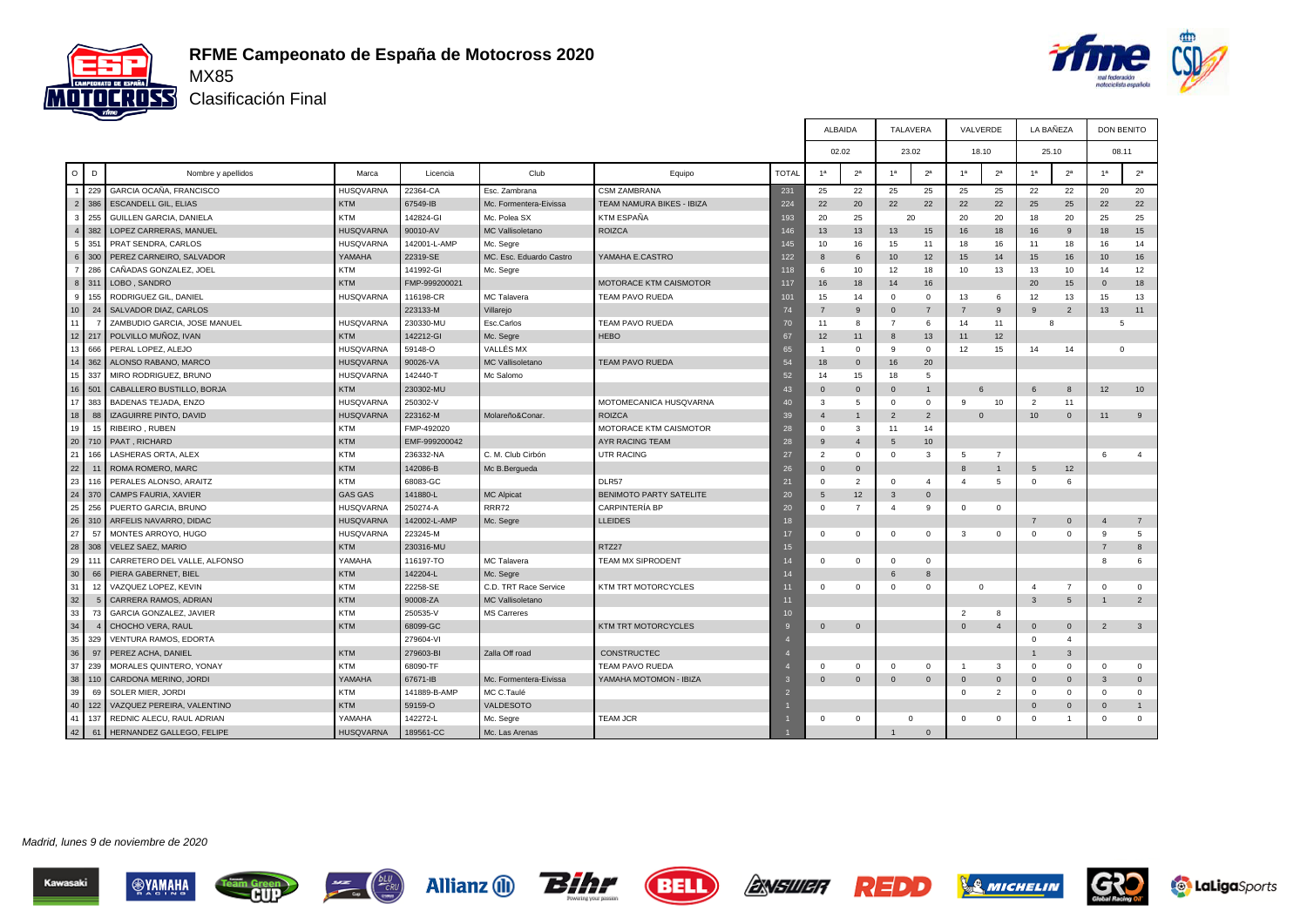



Clasificación Final

|                  |             |                               |                  |               |                         |                                |              | ALBAIDA         |                |                         | TALAVERA       | VALVERDE       |                | LA BAÑEZA      |                | <b>DON BENITO</b> |                |
|------------------|-------------|-------------------------------|------------------|---------------|-------------------------|--------------------------------|--------------|-----------------|----------------|-------------------------|----------------|----------------|----------------|----------------|----------------|-------------------|----------------|
|                  |             |                               |                  |               |                         |                                |              | 02.02           |                | 23.02                   |                | 18.10          |                | 25.10          |                | 08.11             |                |
| $\circ$          | D           | Nombre y apellidos            | Marca            | Licencia      | Club                    | Equipo                         | <b>TOTAL</b> | 1 <sup>a</sup>  | 2 <sup>a</sup> | 1 <sup>a</sup>          | $2^{\rm a}$    | 1 <sup>a</sup> | 2 <sup>a</sup> | 1 <sup>a</sup> | 2 <sup>a</sup> | 1 <sup>a</sup>    | 2 <sup>a</sup> |
| $\mathbf{1}$     | 229         | GARCIA OCAÑA, FRANCISCO       | <b>HUSQVARNA</b> | 22364-CA      | Esc. Zambrana           | <b>CSM ZAMBRANA</b>            | 231          | 25              | 22             | 25                      | 25             | 25             | 25             | 22             | 22             | 20                | 20             |
| $\overline{2}$   | 386         | <b>ESCANDELL GIL, ELIAS</b>   | <b>KTM</b>       | 67549-IB      | Mc. Formentera-Eivissa  | TEAM NAMURA BIKES - IBIZA      | 224          | 22              | 20             | 22                      | 22             | 22             | 22             | 25             | 25             | 22                | 22             |
| 3                | 255         | GUILLEN GARCIA, DANIELA       | <b>KTM</b>       | 142824-GI     | Mc. Polea SX            | KTM ESPAÑA                     | 193          | 20              | 25             |                         | 20             | 20             | 20             | 18             | 20             | 25                | 25             |
| $\overline{4}$   | 382         | LOPEZ CARRERAS, MANUEL        | <b>HUSQVARNA</b> | 90010-AV      | MC Vallisoletano        | <b>ROIZCA</b>                  | 146          | 13              | 13             | 13                      | 15             | 16             | 18             | 16             | 9              | 18                | 15             |
| 5                | 351         | PRAT SENDRA, CARLOS           | <b>HUSQVARNA</b> | 142001-L-AMP  | Mc. Segre               |                                | 145          | 10              | 16             | 15                      | 11             | 18             | 16             | 11             | 18             | 16                | 14             |
| 6                | 300         | PEREZ CARNEIRO, SALVADOR      | YAMAHA           | 22319-SE      | MC. Esc. Eduardo Castro | YAMAHA E.CASTRO                | 122          | 8               | 6              | 10 <sup>°</sup>         | 12             | 15             | 14             | 15             | 16             | 10                | 16             |
| $\overline{7}$   | 286         | CAÑADAS GONZALEZ, JOEL        | <b>KTM</b>       | 141992-GI     | Mc. Segre               |                                | 118          | -6              | 10             | 12                      | 18             | 10             | 13             | 13             | 10             | 14                | 12             |
| 8                | 311         | LOBO, SANDRO                  | <b>KTM</b>       | FMP-999200021 |                         | MOTORACE KTM CAISMOTOR         | 117          | 16              | 18             | 14                      | 16             |                |                | 20             | 15             | $\mathbf{0}$      | 18             |
| 9                | 155         | RODRIGUEZ GIL, DANIEL         | <b>HUSQVARNA</b> | 116198-CR     | MC Talavera             | <b>TEAM PAVO RUEDA</b>         | 101          | 15              | 14             | $\mathbf 0$             | $\Omega$       | 13             | 6              | 12             | 13             | 15                | 13             |
| 10 <sup>10</sup> | 24          | SALVADOR DIAZ, CARLOS         |                  | 223133-M      | Villarejo               |                                | 74           |                 | 9              | $\mathbf{0}$            | $\overline{7}$ |                | 9              | 9              | $\overline{2}$ | 13                | 11             |
| 11               |             | ZAMBUDIO GARCIA, JOSE MANUEL  | <b>HUSQVARNA</b> | 230330-ML     | Esc.Carlos              | TEAM PAVO RUEDA                | 70           | 11              | 8              | $\overline{7}$          | 6              | 14             | 11             | 8              |                | $\overline{5}$    |                |
| 12               | 217         | POLVILLO MUÑOZ, IVAN          | <b>KTM</b>       | 142212-GI     | Mc. Segre               | <b>HEBO</b>                    | 67           | 12              | 11             | 8                       | 13             | 11             | 12             |                |                |                   |                |
| 13               | 666         | PERAL LOPEZ, ALEJO            | <b>HUSQVARNA</b> | 59148-O       | VALLÉS MX               |                                | 65           | $\overline{1}$  | $\mathbf{0}$   | -9                      | $\Omega$       | 12             | 15             | 14             | 14             |                   | $\mathbf 0$    |
| 14               | 362         | ALONSO RABANO, MARCO          | <b>HUSQVARNA</b> | 90026-VA      | <b>MC Vallisoletano</b> | <b>TEAM PAVO RUEDA</b>         | 54           | 18              | $\mathbf{0}$   | 16                      | 20             |                |                |                |                |                   |                |
| 15               | 337         | MIRO RODRIGUEZ, BRUNO         | <b>HUSQVARNA</b> | 142440-T      | Mc Salomo               |                                | 52           | 14              | 15             | 18                      | 5              |                |                |                |                |                   |                |
| 16               | 501         | CABALLERO BUSTILLO, BORJA     | <b>KTM</b>       | 230302-MU     |                         |                                | 43           | $\Omega$        | $\mathbf{0}$   | $\overline{0}$          |                | 6              |                | 6              | 8              | 12                | 10             |
| 17               | 383         | BADENAS TEJADA, ENZO          | <b>HUSQVARNA</b> | 250302-V      |                         | MOTOMECANICA HUSQVARNA         | 40           | $\mathbf{3}$    | $5 -$          | $\Omega$                | $\Omega$       | q              | 10             | 2              | 11             |                   |                |
| 18               | 88          | <b>IZAGUIRRE PINTO, DAVID</b> | <b>HUSQVARNA</b> | 223162-M      | Molareño&Conar.         | <b>ROIZCA</b>                  | 39           | $\mathbf{A}$    | 1              | $\overline{2}$          | $\overline{2}$ | $\Omega$       |                | 10             | $\overline{0}$ | 11                | 9              |
| 19               | 15          | RIBEIRO, RUBEN                | <b>KTM</b>       | FMP-492020    |                         | MOTORACE KTM CAISMOTOR         | 28           | $\Omega$        | 3              | 11                      | 14             |                |                |                |                |                   |                |
| 20               | 710         | PAAT, RICHARD                 | <b>KTM</b>       | EMF-999200042 |                         | AYR RACING TEAM                | 28           | 9               | $\overline{4}$ | 5                       | 10             |                |                |                |                |                   |                |
| 21               | 166         | LASHERAS ORTA, ALEX           | <b>KTM</b>       | 236332-NA     | C. M. Club Cirbón       | <b>UTR RACING</b>              | 27           | 2               | $\mathbf{0}$   | $\mathbf 0$             | 3              | 5              | $\overline{7}$ |                |                | 6                 | $\overline{4}$ |
| 22               |             | ROMA ROMERO, MARC             | <b>KTM</b>       | 142086-B      | Mc B.Bergueda           |                                | 26           | $\Omega$        | $\mathbf{0}$   |                         |                | 8              |                | 5              | 12             |                   |                |
| 23               | 116         | PERALES ALONSO, ARAITZ        | <b>KTM</b>       | 68083-GC      |                         | DLR57                          | 21           | $\Omega$        | $\overline{2}$ | $\mathbf 0$             | $\mathbf{A}$   | $\Delta$       | 5              | $\mathbf 0$    | 6              |                   |                |
| 24               | 370         | CAMPS FAURIA, XAVIER          | <b>GAS GAS</b>   | 141880-L      | <b>MC Alpicat</b>       | <b>BENIMOTO PARTY SATELITE</b> | 20           | $5\overline{5}$ | 12             | $\mathbf{3}$            | $\Omega$       |                |                |                |                |                   |                |
| 25               | 256         | PUERTO GARCIA, BRUNO          | <b>HUSQVARNA</b> | 250274-A      | <b>RRR72</b>            | <b>CARPINTERÍA BP</b>          | 20           | 0               | $\overline{7}$ | $\overline{4}$          | 9              | 0              | $\mathbf{0}$   |                |                |                   |                |
| 26               | 310         | ARFELIS NAVARRO, DIDAC        | <b>HUSQVARNA</b> | 142002-L-AMP  | Mc. Segre               | <b>LLEIDES</b>                 | 18           |                 |                |                         |                |                |                | $\overline{7}$ | $\mathbf 0$    | $\mathbf{A}$      | $\overline{7}$ |
| 27               | 57          | MONTES ARROYO, HUGO           | <b>HUSQVARNA</b> | 223245-M      |                         |                                | 17           | $\Omega$        | $\mathbf 0$    | $\mathbf 0$             | $\mathbf 0$    | 3              | $\mathbf{0}$   | $\Omega$       | $\mathbf 0$    | 9                 | 5              |
| 28               | 308         | <b>VELEZ SAEZ, MARIO</b>      | <b>KTM</b>       | 230316-MU     |                         | RTZ27                          | 15           |                 |                |                         |                |                |                |                |                | $\overline{7}$    | 8              |
| 29               | 111         | CARRETERO DEL VALLE, ALFONSO  | YAMAHA           | 116197-TO     | MC Talavera             | <b>TEAM MX SIPRODENT</b>       | 14           | $\Omega$        | $\mathbf{0}$   | $\overline{0}$          | $\mathbf 0$    |                |                |                |                | 8                 | 6              |
| 30               | 66          | PIERA GABERNET, BIEL          | <b>KTM</b>       | 142204-L      | Mc. Segre               |                                | 14           |                 |                | 6                       | 8              |                |                |                |                |                   |                |
| 31               | 12          | VAZQUEZ LOPEZ, KEVIN          | <b>KTM</b>       | 22258-SE      | C.D. TRT Race Service   | <b>KTM TRT MOTORCYCLES</b>     | 11           | $\Omega$        | $\mathbf{0}$   | $\overline{0}$          | $\Omega$       | $\Omega$       |                | $\overline{4}$ | $\overline{7}$ | $\Omega$          | $\Omega$       |
| 32               | $5^{\circ}$ | CARRERA RAMOS, ADRIAN         | <b>KTM</b>       | 90008-ZA      | <b>MC Vallisoletano</b> |                                | 11           |                 |                |                         |                |                |                | 3              | 5              |                   | $\overline{2}$ |
| 33               | 73          | GARCIA GONZALEZ, JAVIER       | <b>KTM</b>       | 250535-V      | <b>MS Carreres</b>      |                                | 10           |                 |                |                         |                | $\overline{2}$ | 8              |                |                |                   |                |
| 34               |             | CHOCHO VERA, RAUL             | <b>KTM</b>       | 68099-GC      |                         | <b>KTM TRT MOTORCYCLES</b>     | <b>I</b> Ç   | $\Omega$        | $\mathbf{0}$   |                         |                | $\Omega$       | $\overline{4}$ | $\mathbf{0}$   | $\overline{0}$ | $\overline{2}$    | 3              |
| 35               | 329         | VENTURA RAMOS, EDORTA         |                  | 279604-VI     |                         |                                |              |                 |                |                         |                |                |                | $\mathbf 0$    | $\overline{4}$ |                   |                |
| 36               | 97          | PEREZ ACHA, DANIEL            | <b>KTM</b>       | 279603-BI     | Zalla Off road          | <b>CONSTRUCTEC</b>             |              |                 |                |                         |                |                |                | $\mathbf{1}$   | $\mathbf{3}$   |                   |                |
| 37               | 239         | MORALES QUINTERO, YONAY       | <b>KTM</b>       | 68090-TF      |                         | TEAM PAVO RUEDA                |              | $\Omega$        | $^{\circ}$     | $\Omega$                | $\Omega$       | $\overline{1}$ | $\mathbf{3}$   | $\Omega$       | $^{\circ}$     | $\Omega$          | $\mathbf 0$    |
| 38               | 110         | CARDONA MERINO, JORDI         | YAMAHA           | 67671-IB      | Mc. Formentera-Eivissa  | YAMAHA MOTOMON - IBIZA         | B            | $\mathbf{0}$    | $\mathbf 0$    | $\overline{\mathbf{0}}$ | $\mathbf{0}$   | $\overline{0}$ | $\Omega$       | $\mathbf{0}$   | $\overline{0}$ | 3                 | $\overline{0}$ |
| 39               | 69          | <b>SOLER MIER, JORDI</b>      | <b>KTM</b>       | 141889-B-AMP  | MC C.Taulé              |                                | D            |                 |                |                         |                | $\Omega$       | 2              | $\Omega$       | $\Omega$       | $\Omega$          | $\Omega$       |
| 40               | 122         | VAZQUEZ PEREIRA, VALENTINO    | <b>KTM</b>       | 59159-O       | VALDESOTO               |                                |              |                 |                |                         |                |                |                | $\Omega$       | $\mathbf{0}$   | $\Omega$          | $\mathbf{1}$   |
| 41               | 137         | REDNIC ALECU, RAUL ADRIAN     | YAMAHA           | 142272-L      | Mc. Segre               | <b>TEAM JCR</b>                |              | $\Omega$        | $\mathbf{0}$   | $\mathbf 0$             |                | $\Omega$       | $\mathbf{0}$   | $\Omega$       | $\overline{1}$ | $\Omega$          | $\mathbf 0$    |
| 42               | 61          | HERNANDEZ GALLEGO, FELIPE     | <b>HUSQVARNA</b> | 189561-CC     | Mc. Las Arenas          |                                |              |                 |                | $\mathbf{1}$            | $\Omega$       |                |                |                |                |                   |                |







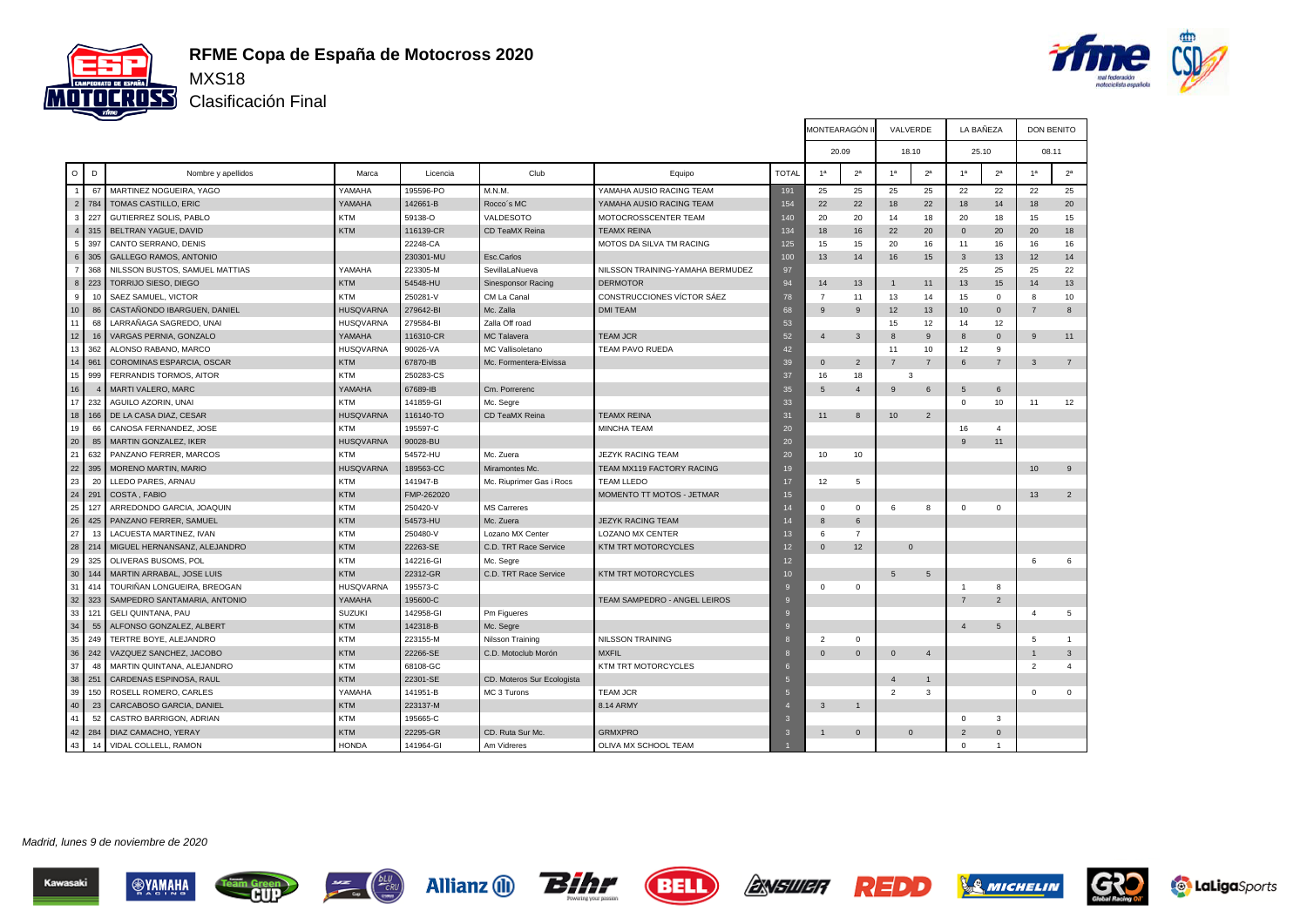

# **RFME Copa de España de Motocross 2020**

 $\underbrace{\hspace{1cm}}_{\text{Cay}}$ 

**CONNECTED** 

Clasificación Final



|                  |     |                                |                  |            |                            |                                  |              | MONTEARAGÓN II |                |                 | VALVERDE       | LA BAÑEZA      |                 | <b>DON BENITO</b> |                |
|------------------|-----|--------------------------------|------------------|------------|----------------------------|----------------------------------|--------------|----------------|----------------|-----------------|----------------|----------------|-----------------|-------------------|----------------|
|                  |     |                                |                  |            |                            |                                  |              |                | 20.09          |                 | 18.10          | 25.10          |                 | 08.11             |                |
| $\circ$          | D   | Nombre y apellidos             | Marca            | Licencia   | Club                       | Equipo                           | <b>TOTAL</b> | 1 <sup>a</sup> | 2 <sup>a</sup> | 1 <sup>a</sup>  | 2 <sup>a</sup> | 1 <sup>a</sup> | 2 <sup>a</sup>  | 1 <sup>a</sup>    | 2 <sup>a</sup> |
| $\overline{1}$   | 67  | MARTINEZ NOGUEIRA, YAGO        | YAMAHA           | 195596-PO  | M.N.M.                     | YAMAHA AUSIO RACING TEAM         | 191          | 25             | 25             | 25              | 25             | 22             | 22              | 22                | 25             |
| $\overline{c}$   | 784 | TOMAS CASTILLO, ERIC           | YAMAHA           | 142661-B   | Rocco's MC                 | YAMAHA AUSIO RACING TEAM         | 154          | 22             | 22             | 18              | 22             | 18             | 14              | 18                | 20             |
| 3                | 227 | GUTIERREZ SOLIS, PABLO         | <b>KTM</b>       | 59138-O    | VALDESOTO                  | MOTOCROSSCENTER TEAM             | 140          | 20             | 20             | 14              | 18             | 20             | 18              | 15                | 15             |
| $\overline{4}$   | 315 | BELTRAN YAGUE, DAVID           | <b>KTM</b>       | 116139-CR  | CD TeaMX Reina             | <b>TEAMX REINA</b>               | 134          | 18             | 16             | 22              | 20             | $\mathbf 0$    | 20              | 20                | 18             |
| 5                | 397 | CANTO SERRANO, DENIS           |                  | 22248-CA   |                            | <b>MOTOS DA SILVA TM RACING</b>  | 125          | 15             | 15             | 20              | 16             | 11             | 16              | 16                | 16             |
| 6 <sup>1</sup>   | 305 | <b>GALLEGO RAMOS, ANTONIO</b>  |                  | 230301-MU  | Esc.Carlos                 |                                  | 100          | 13             | 14             | 16              | 15             | 3              | 13              | 12                | 14             |
| $\overline{7}$   | 368 | NILSSON BUSTOS, SAMUEL MATTIAS | YAMAHA           | 223305-M   | SevillaLaNueva             | NILSSON TRAINING-YAMAHA BERMUDEZ | 97           |                |                |                 |                | 25             | 25              | 25                | 22             |
| 8                | 223 | <b>TORRIJO SIESO, DIEGO</b>    | <b>KTM</b>       | 54548-HU   | <b>Sinesponsor Racing</b>  | <b>DERMOTOR</b>                  | 94           | 14             | 13             | $\overline{1}$  | 11             | 13             | 15              | 14                | 13             |
| 9                | 10  | SAEZ SAMUEL, VICTOR            | <b>KTM</b>       | 250281-V   | CM La Canal                | CONSTRUCCIONES VÍCTOR SÁEZ       | 78           | $\overline{7}$ | 11             | 13              | 14             | 15             | $\mathbf{0}$    | 8                 | 10             |
| 10 <sup>10</sup> | 86  | CASTAÑONDO IBARGUEN, DANIEL    | <b>HUSQVARNA</b> | 279642-BI  | Mc. Zalla                  | <b>DMI TEAM</b>                  | 68           | 9              | 9              | 12              | 13             | 10             | $\mathbf{0}$    | $\overline{7}$    | 8              |
| 11               | 68  | LARRAÑAGA SAGREDO, UNAI        | <b>HUSQVARNA</b> | 279584-BI  | Zalla Off road             |                                  | 53           |                |                | 15              | 12             | 14             | 12              |                   |                |
| 12               | 16  | VARGAS PERNIA, GONZALO         | YAMAHA           | 116310-CR  | MC Talavera                | <b>TEAM JCR</b>                  | 52           | $\overline{4}$ | 3              | 8               | 9              | 8              | $\mathbf 0$     | 9                 | 11             |
| 13               | 362 | ALONSO RABANO, MARCO           | <b>HUSQVARNA</b> | 90026-VA   | MC Vallisoletano           | <b>TEAM PAVO RUEDA</b>           | 42           |                |                | 11              | 10             | 12             | 9               |                   |                |
| 14               | 961 | COROMINAS ESPARCIA, OSCAR      | <b>KTM</b>       | 67870-IB   | Mc. Formentera-Eivissa     |                                  | 39           | $\mathbf 0$    | $\overline{2}$ | $\overline{7}$  | $\overline{7}$ | 6              | $\overline{7}$  | $\mathbf{3}$      | $\overline{7}$ |
| 15               | 999 | FERRANDIS TORMOS, AITOR        | <b>KTM</b>       | 250283-CS  |                            |                                  | 37           | 16             | 18             |                 | 3              |                |                 |                   |                |
| 16               |     | <b>MARTI VALERO, MARC</b>      | YAMAHA           | 67689-IB   | Cm. Porrerenc              |                                  | 35           | 5              | $\overline{4}$ | 9               | 6              | 5              | 6               |                   |                |
| 17               | 232 | AGUILO AZORIN, UNAI            | <b>KTM</b>       | 141859-GI  | Mc. Segre                  |                                  | 33           |                |                |                 |                | $\mathbf{0}$   | 10              | 11                | 12             |
| 18               | 166 | DE LA CASA DIAZ. CESAR         | <b>HUSQVARNA</b> | 116140-TO  | CD TeaMX Reina             | <b>TEAMX REINA</b>               | 31           | 11             | 8              | 10 <sup>1</sup> | 2              |                |                 |                   |                |
| 19               | 66  | CANOSA FERNANDEZ, JOSE         | <b>KTM</b>       | 195597-C   |                            | <b>MINCHA TEAM</b>               | 20           |                |                |                 |                | 16             | $\overline{4}$  |                   |                |
| 20               | 85  | MARTIN GONZALEZ, IKER          | <b>HUSQVARNA</b> | 90028-BU   |                            |                                  | 20           |                |                |                 |                | 9              | 11              |                   |                |
| 21               | 632 | PANZANO FERRER, MARCOS         | <b>KTM</b>       | 54572-HU   | Mc. Zuera                  | <b>JEZYK RACING TEAM</b>         | 20           | 10             | 10             |                 |                |                |                 |                   |                |
| 22               | 395 | <b>MORENO MARTIN, MARIO</b>    | <b>HUSQVARNA</b> | 189563-CC  | Miramontes Mc.             | TEAM MX119 FACTORY RACING        | 19           |                |                |                 |                |                |                 | 10                | 9              |
| 23               | 20  | LLEDO PARES, ARNAU             | <b>KTM</b>       | 141947-B   | Mc. Riuprimer Gas i Rocs   | <b>TEAM LLEDO</b>                | 17           | 12             | 5              |                 |                |                |                 |                   |                |
| 24               | 291 | COSTA, FABIO                   | <b>KTM</b>       | FMP-262020 |                            | MOMENTO TT MOTOS - JETMAR        | 15           |                |                |                 |                |                |                 | 13                | 2              |
| 25               | 127 | ARREDONDO GARCIA, JOAQUIN      | <b>KTM</b>       | 250420-V   | <b>MS Carreres</b>         |                                  | 14           | $\Omega$       | $\Omega$       | 6               | 8              | $\mathbf{0}$   | $\mathbf 0$     |                   |                |
| 26               | 425 | PANZANO FERRER, SAMUEL         | <b>KTM</b>       | 54573-HU   | Mc. Zuera                  | <b>JEZYK RACING TEAM</b>         | 14           | $\mathbf{8}$   | 6              |                 |                |                |                 |                   |                |
| 27               | 13  | LACUESTA MARTINEZ, IVAN        | <b>KTM</b>       | 250480-V   | Lozano MX Center           | LOZANO MX CENTER                 | 13           | 6              | $\overline{7}$ |                 |                |                |                 |                   |                |
| 28               | 214 | MIGUEL HERNANSANZ, ALEJANDRO   | <b>KTM</b>       | 22263-SE   | C.D. TRT Race Service      | KTM TRT MOTORCYCLES              | 12           | $\Omega$       | 12             |                 | $\Omega$       |                |                 |                   |                |
| 29               | 325 | OLIVERAS BUSOMS, POL           | <b>KTM</b>       | 142216-GI  | Mc. Segre                  |                                  | 12           |                |                |                 |                |                |                 | 6                 | 6              |
| 30               | 144 | MARTIN ARRABAL, JOSE LUIS      | <b>KTM</b>       | 22312-GR   | C.D. TRT Race Service      | KTM TRT MOTORCYCLES              | 10           |                |                | 5               | $\sqrt{5}$     |                |                 |                   |                |
| 31               | 414 | TOURIÑAN LONGUEIRA, BREOGAN    | <b>HUSQVARNA</b> | 195573-C   |                            |                                  | -9           | $\mathbf{0}$   | $\mathbf 0$    |                 |                | $\overline{1}$ | 8               |                   |                |
| 32               | 323 | SAMPEDRO SANTAMARIA, ANTONIO   | YAMAHA           | 195600-C   |                            | TEAM SAMPEDRO - ANGEL LEIROS     | $\mathbf{Q}$ |                |                |                 |                | $\overline{7}$ | $\overline{2}$  |                   |                |
| 33               | 121 | <b>GELI QUINTANA, PAU</b>      | <b>SUZUKI</b>    | 142958-GI  | Pm Figueres                |                                  | $\mathbf{q}$ |                |                |                 |                |                |                 | $\overline{4}$    | 5              |
| 34               | 55  | ALFONSO GONZALEZ, ALBERT       | <b>KTM</b>       | 142318-B   | Mc. Segre                  |                                  | $\Omega$     |                |                |                 |                | $\Delta$       | $5\phantom{.0}$ |                   |                |
| 35               | 249 | TERTRE BOYE, ALEJANDRO         | <b>KTM</b>       | 223155-M   | Nilsson Training           | NILSSON TRAINING                 |              | $\overline{2}$ | $\mathbf 0$    |                 |                |                |                 | 5                 |                |
| 36               | 242 | VAZQUEZ SANCHEZ, JACOBO        | <b>KTM</b>       | 22266-SE   | C.D. Motoclub Morón        | <b>MXFIL</b>                     | -8           | $\Omega$       | $\Omega$       | $\mathbf{0}$    | $\overline{4}$ |                |                 |                   | $\mathbf{3}$   |
| 37               | 48  | MARTIN QUINTANA, ALEJANDRO     | <b>KTM</b>       | 68108-GC   |                            | KTM TRT MOTORCYCLES              | -6           |                |                |                 |                |                |                 | $\overline{2}$    | $\overline{4}$ |
| 38               | 251 | CARDENAS ESPINOSA, RAUL        | <b>KTM</b>       | 22301-SE   | CD. Moteros Sur Ecologista |                                  |              |                |                | $\overline{4}$  | $\mathbf{1}$   |                |                 |                   |                |
| 39               | 150 | ROSELL ROMERO, CARLES          | YAMAHA           | 141951-B   | MC 3 Turons                | <b>TEAM JCR</b>                  | -5           |                |                | $\overline{2}$  | 3              |                |                 | $\Omega$          | $\mathbf 0$    |
| 40               | 23  | CARCABOSO GARCIA, DANIEL       | <b>KTM</b>       | 223137-M   |                            | 8.14 ARMY                        |              | 3              | $\mathbf{1}$   |                 |                |                |                 |                   |                |
| 41               | 52  | CASTRO BARRIGON, ADRIAN        | <b>KTM</b>       | 195665-C   |                            |                                  |              |                |                |                 |                | $\Omega$       | 3               |                   |                |
| 42               | 284 | DIAZ CAMACHO, YERAY            | <b>KTM</b>       | 22295-GR   | CD. Ruta Sur Mc.           | <b>GRMXPRO</b>                   |              |                | $\Omega$       |                 | $\Omega$       | $\overline{2}$ | $\mathbf{0}$    |                   |                |
| 43               | 14  | VIDAL COLLELL, RAMON           | <b>HONDA</b>     | 141964-GI  | Am Vidreres                | OLIVA MX SCHOOL TEAM             |              |                |                |                 |                | $\Omega$       | $\mathbf{1}$    |                   |                |

Madrid, lunes 9 de noviembre de 2020







**r** 



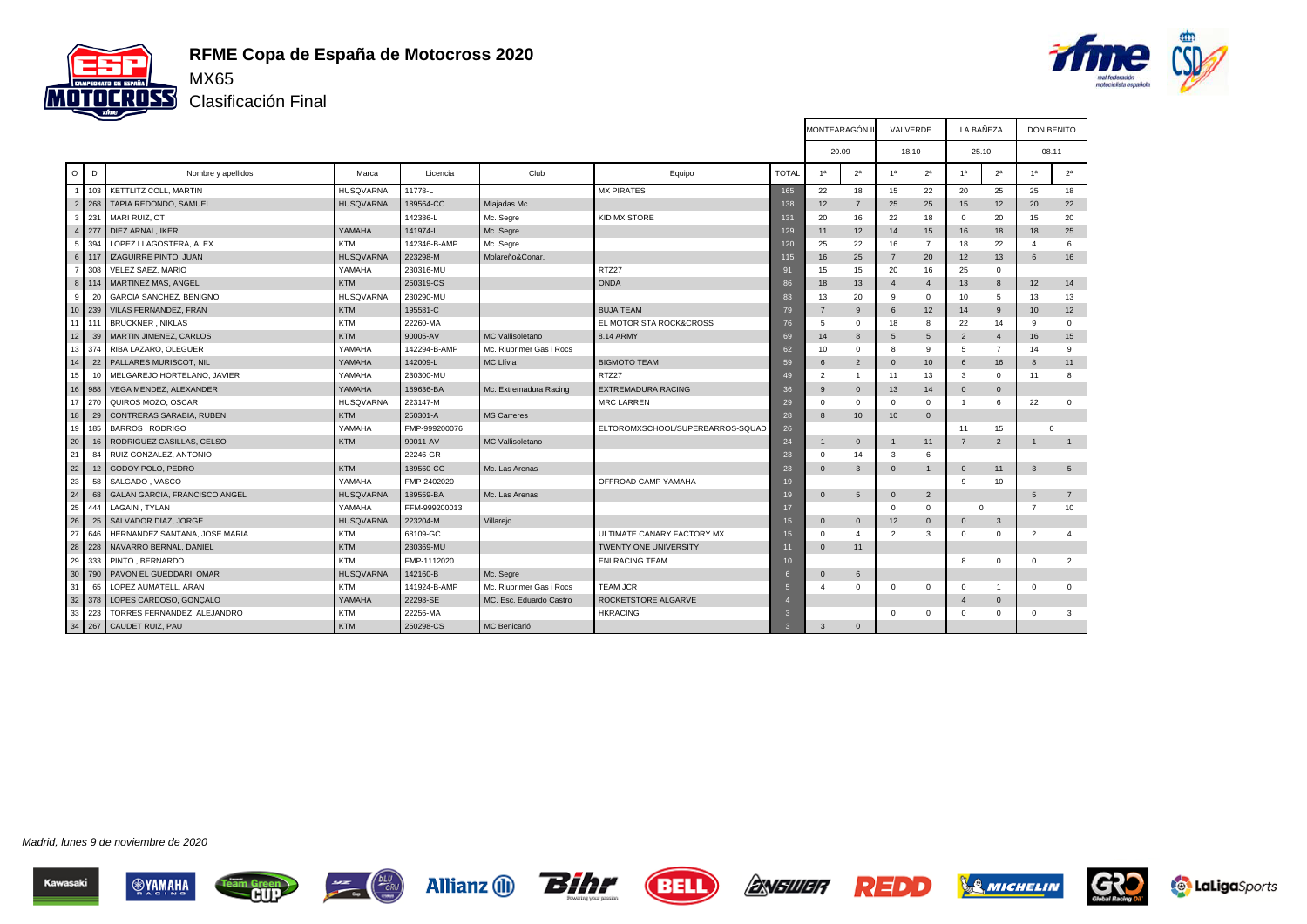

## **RFME Copa de España de Motocross 2020**

Clasificación Final



|                |         |                               |                  |               |                          |                                  |                 | <b>MONTEARAGON</b> |                | VALVERDE        |                  | LA BANEZA             |                | DON BENITO      |                |
|----------------|---------|-------------------------------|------------------|---------------|--------------------------|----------------------------------|-----------------|--------------------|----------------|-----------------|------------------|-----------------------|----------------|-----------------|----------------|
|                |         |                               |                  |               |                          |                                  |                 | 20.09              |                | 18.10           |                  | 25.10                 |                | 08.11           |                |
| $\circ$        | D       | Nombre y apellidos            | Marca            | Licencia      | Club                     | Equipo                           | <b>TOTAL</b>    | 1 <sup>a</sup>     | 2 <sup>a</sup> | 1 <sup>a</sup>  | 2 <sup>a</sup>   | 1 <sup>a</sup>        | 2 <sup>a</sup> | 1 <sup>a</sup>  | 2 <sup>a</sup> |
| $\overline{1}$ | 103     | KETTLITZ COLL. MARTIN         | <b>HUSQVARNA</b> | 11778-L       |                          | <b>MX PIRATES</b>                | 165             | 22                 | 18             | 15              | 22               | 20                    | 25             | 25              | 18             |
| $\overline{2}$ | 268     | TAPIA REDONDO, SAMUEL         | <b>HUSQVARNA</b> | 189564-CC     | Miajadas Mc.             |                                  | 138             | 12                 | $\overline{7}$ | 25              | 25               | 15                    | 12             | 20              | 22             |
| $\mathbf{3}$   | 231     | MARI RUIZ, OT                 |                  | 142386-L      | Mc. Segre                | KID MX STORE                     | 131             | 20                 | 16             | 22              | 18               | $\Omega$              | 20             | 15              | 20             |
| $\overline{4}$ | 1277    | DIEZ ARNAL, IKER              | YAMAHA           | 141974-L      | Mc. Segre                |                                  | 129             | 11                 | 12             | 14              | 15               | 16                    | 18             | 18              | 25             |
| - 5 I          | 394     | LOPEZ LLAGOSTERA. ALEX        | <b>KTM</b>       | 142346-B-AMP  | Mc. Segre                |                                  | 120             | 25                 | 22             | 16              | $\overline{7}$   | 18                    | 22             | $\mathbf{A}$    | 6              |
|                | 6 117   | IZAGUIRRE PINTO, JUAN         | <b>HUSQVARNA</b> | 223298-M      | Molareño&Conar.          |                                  | 115             | 16                 | 25             | $\overline{7}$  | 20               | 12                    | 13             | 6               | 16             |
| 7 <sup>1</sup> | 308     | VELEZ SAEZ, MARIO             | YAMAHA           | 230316-MU     |                          | RTZ27                            | 91              | 15                 | 15             | 20              | 16               | 25                    | $\mathbf 0$    |                 |                |
|                | 8   114 | MARTINEZ MAS, ANGEL           | <b>KTM</b>       | 250319-CS     |                          | <b>ONDA</b>                      | 86              | 18                 | 13             | $\overline{4}$  | $\overline{4}$   | 13                    | 8              | 12              | 14             |
| 9 <sup>°</sup> | 20      | GARCIA SANCHEZ, BENIGNO       | <b>HUSQVARNA</b> | 230290-MU     |                          |                                  | 83              | 13                 | 20             | 9               | $\mathbf 0$      | 10                    | 5              | 13              | 13             |
| 10             | 239     | <b>VILAS FERNANDEZ, FRAN</b>  | <b>KTM</b>       | 195581-C      |                          | <b>BUJA TEAM</b>                 | 79              | $\overline{7}$     | 9              | 6               | 12               | 14                    | 9              | 10              | 12             |
|                | 11 111  | <b>BRUCKNER, NIKLAS</b>       | <b>KTM</b>       | 22260-MA      |                          | EL MOTORISTA ROCK&CROSS          | 76              | 5                  | $\mathbf{0}$   | 18              | 8                | 22                    | 14             | 9               | $^{\circ}$     |
| 12             | 39      | MARTIN JIMENEZ, CARLOS        | <b>KTM</b>       | 90005-AV      | <b>MC Vallisoletano</b>  | 8.14 ARMY                        | 69              | 14                 | 8              | 5               | 5                | $\overline{2}$        | $\overline{4}$ | 16              | 15             |
|                |         | 13 374 RIBA LAZARO, OLEGUER   | YAMAHA           | 142294-B-AMP  | Mc. Riuprimer Gas i Rocs |                                  | 62              | 10                 | $\mathbf{0}$   | 8               | 9                | 5                     | $\overline{7}$ | 14              | 9              |
| 14             | 22      | PALLARES MURISCOT, NIL        | YAMAHA           | 142009-L      | <b>MC Llívia</b>         | <b>BIGMOTO TEAM</b>              | 59              | 6                  | $\overline{2}$ | $\Omega$        | 10 <sup>10</sup> | 6                     | 16             | $\mathbf{8}$    | 11             |
| 15             |         | MELGAREJO HORTELANO, JAVIER   | YAMAHA           | 230300-MU     |                          | RTZ27                            | 49              | $\overline{2}$     | $\overline{1}$ | 11              | 13               | 3                     | $\mathbf 0$    | 11              | 8              |
|                | 16 988  | VEGA MENDEZ, ALEXANDER        | YAMAHA           | 189636-BA     | Mc. Extremadura Racing   | <b>EXTREMADURA RACING</b>        | 36              | 9                  | $\overline{0}$ | 13              | 14               | $\mathbf 0$           | $\mathbf{0}$   |                 |                |
| 17 I           | 270     | QUIROS MOZO, OSCAR            | <b>HUSQVARNA</b> | 223147-M      |                          | <b>MRC LARREN</b>                | 29              | $\Omega$           | $\mathbf 0$    | $\Omega$        | $\Omega$         | $\overline{1}$        | 6              | 22              | $^{\circ}$     |
| 18             | 29      | CONTRERAS SARABIA, RUBEN      | <b>KTM</b>       | 250301-A      | <b>MS Carreres</b>       |                                  | 28              | $\mathbf{8}$       | 10             | 10 <sup>°</sup> | $\mathbf{0}$     |                       |                |                 |                |
| 19             | 185     | <b>BARROS, RODRIGO</b>        | YAMAHA           | FMP-999200076 |                          | ELTOROMXSCHOOL/SUPERBARROS-SQUAD | 26              |                    |                |                 |                  | 11                    | 15             | $\Omega$        |                |
| 20             |         | RODRIGUEZ CASILLAS, CELSO     | <b>KTM</b>       | 90011-AV      | <b>MC Vallisoletano</b>  |                                  | 24              |                    | $\mathbf 0$    |                 | 11               | $\overline{7}$        | $\overline{2}$ |                 | $\overline{1}$ |
| 21             | 84      | RUIZ GONZALEZ, ANTONIO        |                  | 22246-GR      |                          |                                  | 23              | $\Omega$           | 14             | 3               | 6                |                       |                |                 |                |
| 22             | 12      | GODOY POLO, PEDRO             | <b>KTM</b>       | 189560-CC     | Mc. Las Arenas           |                                  | 23              | $\Omega$           | $\mathbf{3}$   | $\Omega$        | $\mathbf{1}$     | $\Omega$              | 11             | $\mathbf{3}$    | 5              |
| 23             | 58      | SALGADO, VASCO                | YAMAHA           | FMP-2402020   |                          | OFFROAD CAMP YAMAHA              | 19              |                    |                |                 |                  | 9                     | 10             |                 |                |
| 24             | 68      | GALAN GARCIA, FRANCISCO ANGEL | <b>HUSQVARNA</b> | 189559-BA     | Mc. Las Arenas           |                                  | 19              | $\Omega$           | $\,$ 5 $\,$    | $\Omega$        | $\overline{2}$   |                       |                | $5\overline{5}$ | $\overline{7}$ |
| 25             | 444     | LAGAIN . TYLAN                | YAMAHA           | FFM-999200013 |                          |                                  | 17              |                    |                | $\Omega$        | $\mathbf 0$      | $\Omega$              |                | $\overline{7}$  | 10             |
| 26             | 25      | SALVADOR DIAZ, JORGE          | <b>HUSQVARNA</b> | 223204-M      | Villarejo                |                                  | 15              | $\Omega$           | $\overline{0}$ | 12              | $\mathbf{0}$     | $\Omega$              | 3              |                 |                |
| 27             | 646     | HERNANDEZ SANTANA, JOSE MARIA | KTM              | 68109-GC      |                          | ULTIMATE CANARY FACTORY MX       | 15              | $\Omega$           | $\overline{4}$ | 2               | 3                | $\mathbf 0$           | $\mathbf 0$    | 2               | $\overline{4}$ |
| 28             | 228     | NAVARRO BERNAL, DANIEL        | <b>KTM</b>       | 230369-MU     |                          | TWENTY ONE UNIVERSITY            | 11              | $\Omega$           | 11             |                 |                  |                       |                |                 |                |
| 29             | 333     | PINTO . BERNARDO              | <b>KTM</b>       | FMP-1112020   |                          | <b>ENI RACING TEAM</b>           | 10              |                    |                |                 |                  | 8                     | $\Omega$       | $\mathbf 0$     | $\overline{2}$ |
| 30             | 790     | PAVON EL GUEDDARI, OMAR       | <b>HUSQVARNA</b> | 142160-B      | Mc. Segre                |                                  | 6               | $\Omega$           | 6              |                 |                  |                       |                |                 |                |
| 31             | 65      | LOPEZ AUMATELL, ARAN          | <b>KTM</b>       | 141924-B-AMP  | Mc. Riuprimer Gas i Rocs | <b>TEAM JCR</b>                  | $5\overline{5}$ |                    | $^{\circ}$     | $^{\circ}$      | $\Omega$         | $\mathbf 0$           | $\overline{1}$ | $\Omega$        | $^{\circ}$     |
|                |         | 32 378 LOPES CARDOSO, GONÇALO | YAMAHA           | 22298-SE      | MC. Esc. Eduardo Castro  | ROCKETSTORE ALGARVE              |                 |                    |                |                 |                  | $\boldsymbol{\Delta}$ | $\mathbf 0$    |                 |                |
|                | 33 223  | TORRES FERNANDEZ, ALEJANDRO   | <b>KTM</b>       | 22256-MA      |                          | <b>HKRACING</b>                  | $\mathbf{3}$    |                    |                | $\Omega$        | $\Omega$         | $\Omega$              | $\mathbf 0$    | $\Omega$        | 3              |
|                |         | 34 267 CAUDET RUIZ, PAU       | <b>KTM</b>       | 250298-CS     | MC Benicarló             |                                  | $\mathbf{a}$    | 3                  | $\mathbf{0}$   |                 |                  |                       |                |                 |                |

Madrid, lunes 9 de noviembre de 2020





**am Green** 





**ENSWER** 

**REDD** 

**SA MICHELIN** 

G

**to LaLiga**Sports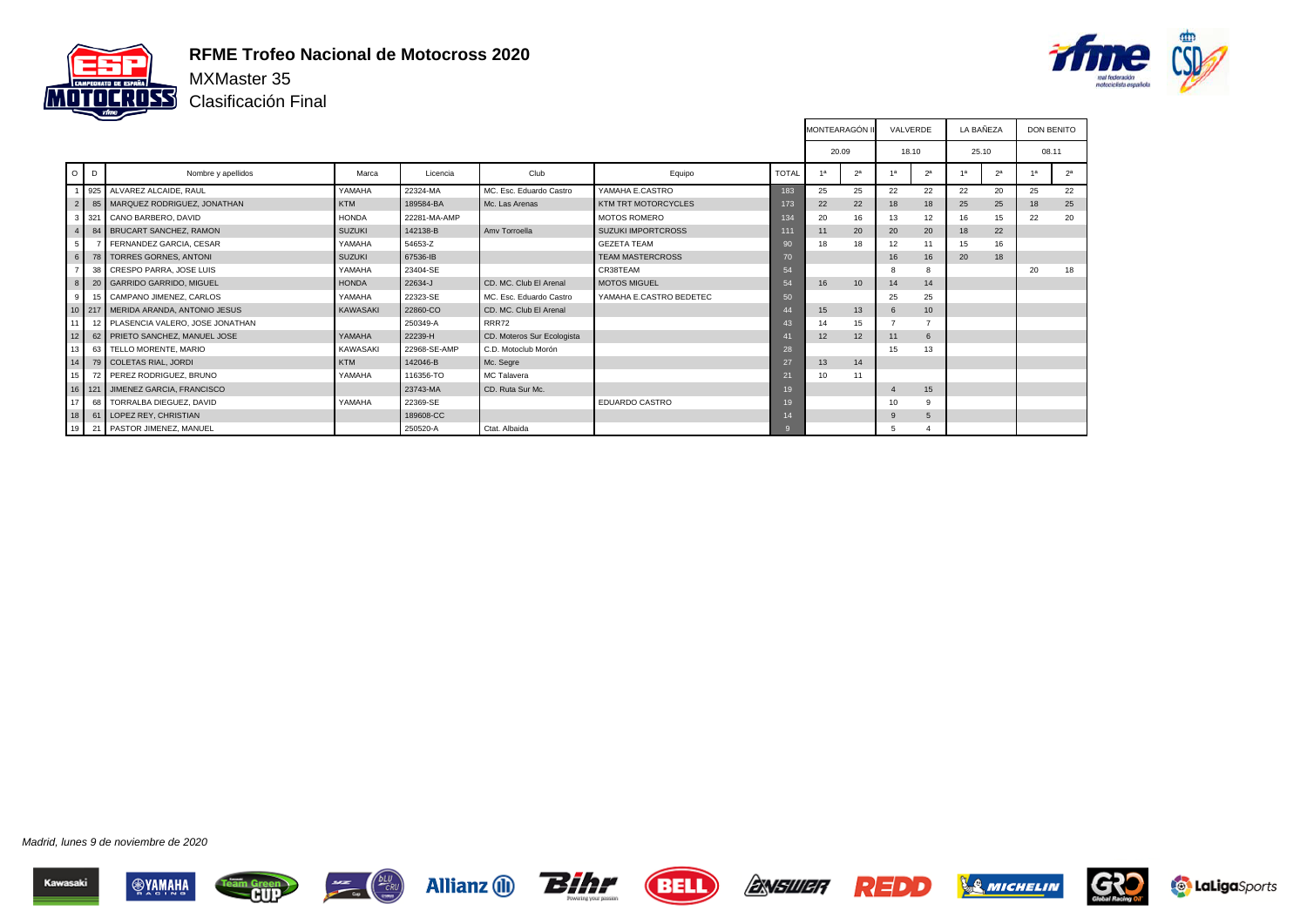

#### **RFME Trofeo Nacional de Motocross 2020**

Clasificación Final



|                 |         |                                           |                 |              |                            |                            |              | <b>MONTEARAGÓN II</b> |                  | VALVERDE |                | LA BAÑEZA |                |    | <b>DON BENITO</b> |
|-----------------|---------|-------------------------------------------|-----------------|--------------|----------------------------|----------------------------|--------------|-----------------------|------------------|----------|----------------|-----------|----------------|----|-------------------|
|                 |         |                                           |                 |              |                            |                            |              | 20.09                 |                  | 18.10    |                | 25.10     |                |    | 08.11             |
|                 | $O$ $D$ | Nombre y apellidos                        | Marca           | Licencia     | Club                       | Equipo                     | <b>TOTAL</b> | 13                    | 2 <sup>a</sup>   |          | 2 <sup>a</sup> |           | 2 <sup>a</sup> | 1a | 2 <sup>a</sup>    |
|                 |         | 925 ALVAREZ ALCAIDE, RAUL                 | YAMAHA          | 22324-MA     | MC. Esc. Eduardo Castro    | YAMAHA E.CASTRO            | 183          | 25                    | 25               | 22       | 22             | 22        | 20             | 25 | 22                |
| 2 <sup>1</sup>  |         | 85   MARQUEZ RODRIGUEZ, JONATHAN          | <b>KTM</b>      | 189584-BA    | Mc. Las Arenas             | <b>KTM TRT MOTORCYCLES</b> | 173          | 22                    | 22               | 18       | 18             | 25        | 25             | 18 | 25                |
|                 |         | 321 CANO BARBERO, DAVID                   | <b>HONDA</b>    | 22281-MA-AMP |                            | <b>MOTOS ROMERO</b>        | 134          | 20                    | 16               | 13       | 12             | 16        | 15             | 22 | 20                |
|                 |         | 84 BRUCART SANCHEZ, RAMON                 | <b>SUZUKI</b>   | 142138-B     | Amy Torroella              | <b>SUZUKI IMPORTCROSS</b>  | 111          | 11                    | 20               | 20       | 20             | 18        | 22             |    |                   |
| 5 <sub>1</sub>  |         | FERNANDEZ GARCIA, CESAR                   | YAMAHA          | 54653-Z      |                            | <b>GEZETA TEAM</b>         | 90           | 18                    | 18               | 12       | 11             | 15        | 16             |    |                   |
| $6 \mid$        |         | 78   TORRES GORNES, ANTONI                | <b>SUZUKI</b>   | 67536-IB     |                            | <b>TEAM MASTERCROSS</b>    | 70           |                       |                  | 16       | 16             | 20        | 18             |    |                   |
|                 | 38      | CRESPO PARRA, JOSE LUIS                   | YAMAHA          | 23404-SE     |                            | CR38TEAM                   | 54           |                       |                  | 8        | 8              |           |                | 20 | 18                |
| 8 <sup>1</sup>  | 20      | <b>GARRIDO GARRIDO, MIGUEL</b>            | <b>HONDA</b>    | 22634-J      | CD. MC. Club El Arenal     | <b>MOTOS MIGUEL</b>        | 54           | 16                    | 10 <sup>10</sup> | 14       | 14             |           |                |    |                   |
| 9               |         | 15 CAMPANO JIMENEZ, CARLOS                | YAMAHA          | 22323-SE     | MC, Esc. Eduardo Castro    | YAMAHA E.CASTRO BEDETEC    | 50           |                       |                  | 25       | 25             |           |                |    |                   |
|                 |         | 10 217 MERIDA ARANDA, ANTONIO JESUS       | <b>KAWASAKI</b> | 22860-CO     | CD, MC, Club El Arenal     |                            | 44           | 15                    | 13               | 6        | 10             |           |                |    |                   |
|                 |         | 11   12   PLASENCIA VALERO, JOSE JONATHAN |                 | 250349-A     | RRR72                      |                            | 43           | 14                    | 15               |          |                |           |                |    |                   |
| 12 <sup>1</sup> |         | 62 PRIETO SANCHEZ, MANUEL JOSE            | YAMAHA          | 22239-H      | CD. Moteros Sur Ecologista |                            | 41           | 12                    | 12               | 11       | 6              |           |                |    |                   |
| 13              |         | 63 TELLO MORENTE, MARIO                   | KAWASAKI        | 22968-SE-AMP | C.D. Motoclub Morón        |                            | 28           |                       |                  | 15       | 13             |           |                |    |                   |
|                 |         | 14   79   COLETAS RIAL, JORDI             | <b>KTM</b>      | 142046-B     | Mc. Segre                  |                            | 27           | 13                    | 14               |          |                |           |                |    |                   |
| 15 <sup>1</sup> |         | 72 PEREZ RODRIGUEZ, BRUNO                 | YAMAHA          | 116356-TO    | MC Talavera                |                            | 21           | 10                    | 11               |          |                |           |                |    |                   |
|                 |         | 16   121   JIMENEZ GARCIA, FRANCISCO      |                 | 23743-MA     | CD. Ruta Sur Mc.           |                            | 19           |                       |                  |          | 15             |           |                |    |                   |
| 17 <sup>1</sup> |         | 68 TORRALBA DIEGUEZ, DAVID                | YAMAHA          | 22369-SE     |                            | EDUARDO CASTRO             | 19           |                       |                  | 10       | 9              |           |                |    |                   |
|                 |         | 18 61 LOPEZ REY, CHRISTIAN                |                 | 189608-CC    |                            |                            | 14           |                       |                  | 9        | 5              |           |                |    |                   |
|                 |         | 19 21 PASTOR JIMENEZ, MANUEL              |                 | 250520-A     | Ctat. Albaida              |                            |              |                       |                  | 5        |                |           |                |    |                   |















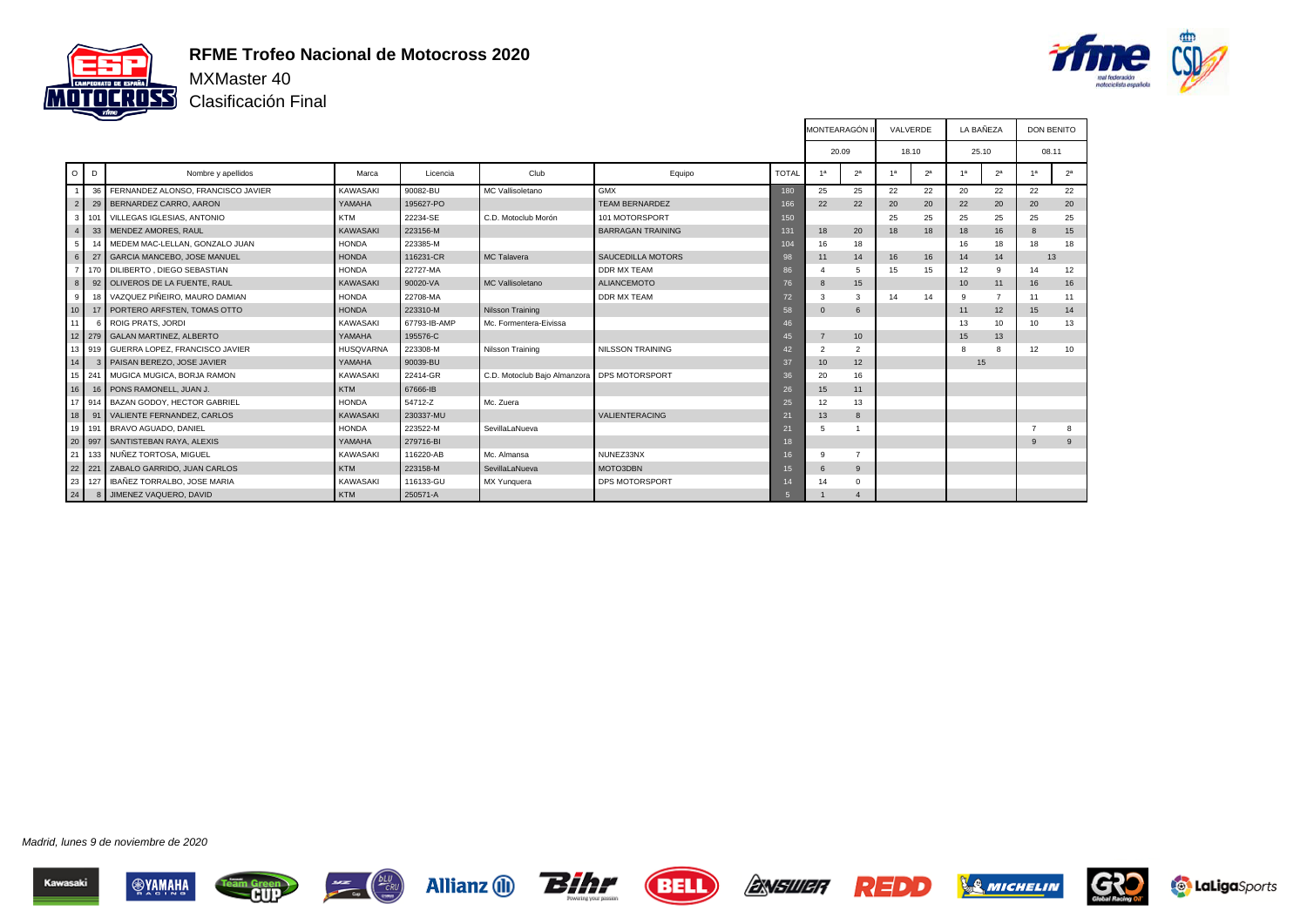

#### **RFME Trofeo Nacional de Motocross 2020**

Clasificación Final



т

|                 |        |                                       |                  |              |                              |                          |                | <b>IMONTEARAGON II</b> |                | VALVERDE |                | LA BANEZA       |                |                | <b>DON BENITO</b> |
|-----------------|--------|---------------------------------------|------------------|--------------|------------------------------|--------------------------|----------------|------------------------|----------------|----------|----------------|-----------------|----------------|----------------|-------------------|
|                 |        |                                       |                  |              |                              |                          |                | 20.09                  |                |          | 18.10          | 25.10           |                |                | 08.11             |
| $\circ$         | D      | Nombre y apellidos                    | Marca            | Licencia     | Club                         | Equipo                   | <b>TOTAL</b>   | 1a                     | 2 <sup>a</sup> | 1a       | 2 <sup>a</sup> | 1 <sup>a</sup>  | 2 <sup>a</sup> | 1a             | 2 <sup>a</sup>    |
|                 |        | 36 FERNANDEZ ALONSO, FRANCISCO JAVIER | KAWASAKI         | 90082-BU     | MC Vallisoletano             | <b>GMX</b>               | 180            | 25                     | 25             | 22       | 22             | 20              | 22             | 22             | 22                |
| $\overline{2}$  |        | 29 BERNARDEZ CARRO, AARON             | YAMAHA           | 195627-PO    |                              | <b>TEAM BERNARDEZ</b>    | 166            | 22                     | 22             | 20       | 20             | 22              | 20             | 20             | 20                |
| 3 <sup>1</sup>  | 101    | <b>VILLEGAS IGLESIAS, ANTONIO</b>     | <b>KTM</b>       | 22234-SE     | C.D. Motoclub Morón          | 101 MOTORSPORT           | 150            |                        |                | 25       | 25             | 25              | 25             | 25             | 25                |
| $\overline{4}$  |        | 33 MENDEZ AMORES, RAUL                | <b>KAWASAKI</b>  | 223156-M     |                              | <b>BARRAGAN TRAINING</b> | 131            | 18                     | 20             | 18       | 18             | 18              | 16             | $\mathbf{8}$   | 15                |
| 5               |        | 14 MEDEM MAC-LELLAN, GONZALO JUAN     | <b>HONDA</b>     | 223385-M     |                              |                          | 104            | 16                     | 18             |          |                | 16              | 18             | 18             | 18                |
| $\,6\,$         | 27     | <b>GARCIA MANCEBO, JOSE MANUEL</b>    | <b>HONDA</b>     | 116231-CR    | <b>MC Talavera</b>           | <b>SAUCEDILLA MOTORS</b> | 98             | 11                     | 14             | 16       | 16             | 14              | 14             |                | 13                |
| $\overline{7}$  |        | 170 DILIBERTO, DIEGO SEBASTIAN        | <b>HONDA</b>     | 22727-MA     |                              | <b>DDR MX TEAM</b>       | 86             |                        | 5              | 15       | 15             | 12              | 9              | 14             | 12                |
| 8               |        | 92 OLIVEROS DE LA FUENTE, RAUL        | <b>KAWASAKI</b>  | 90020-VA     | <b>MC Vallisoletano</b>      | <b>ALIANCEMOTO</b>       | 76             | 8                      | 15             |          |                | 10 <sup>1</sup> | 11             | 16             | 16                |
| 9               |        | 18 VAZQUEZ PIÑEIRO, MAURO DAMIAN      | <b>HONDA</b>     | 22708-MA     |                              | <b>DDR MX TEAM</b>       | 72             | 3                      | 3              | 14       | 14             | 9               | $\overline{z}$ | 11             | 11                |
| 10              |        | 17 PORTERO ARFSTEN, TOMAS OTTO        | <b>HONDA</b>     | 223310-M     | Nilsson Training             |                          | 58             | $\Omega$               | 6              |          |                | 11              | 12             | 15             | 14                |
| 11              |        | 6 ROIG PRATS, JORDI                   | <b>KAWASAKI</b>  | 67793-IB-AMP | Mc. Formentera-Eivissa       |                          | 46             |                        |                |          |                | 13              | 10             | 10             | 13                |
| 12 <sup>1</sup> |        | 279 GALAN MARTINEZ, ALBERTO           | YAMAHA           | 195576-C     |                              |                          | 45             |                        | 10             |          |                | 15              | 13             |                |                   |
| 13 <sup>1</sup> |        | 919 GUERRA LOPEZ, FRANCISCO JAVIER    | <b>HUSQVARNA</b> | 223308-M     | Nilsson Training             | <b>NILSSON TRAINING</b>  | 42             | $\overline{2}$         | $\overline{2}$ |          |                | $\mathbf{R}$    | 8              | 12             | 10                |
| 14              |        | 3 PAISAN BEREZO, JOSE JAVIER          | YAMAHA           | 90039-BU     |                              |                          | 37             | 10                     | 12             |          |                | 15              |                |                |                   |
| 15 <sup>1</sup> | 241    | MUGICA MUGICA, BORJA RAMON            | <b>KAWASAKI</b>  | 22414-GR     | C.D. Motoclub Bajo Almanzora | <b>DPS MOTORSPORT</b>    | 36             | 20                     | 16             |          |                |                 |                |                |                   |
| 16              |        | 16 PONS RAMONELL, JUAN J.             | <b>KTM</b>       | 67666-IB     |                              |                          | 26             | 15                     | 11             |          |                |                 |                |                |                   |
|                 |        | 17 914 BAZAN GODOY, HECTOR GABRIEL    | <b>HONDA</b>     | 54712-Z      | Mc. Zuera                    |                          | 25             | 12                     | 13             |          |                |                 |                |                |                   |
| 18              |        | 91   VALIENTE FERNANDEZ, CARLOS       | <b>KAWASAKI</b>  | 230337-MU    |                              | VALIENTERACING           | 21             | 13                     | 8              |          |                |                 |                |                |                   |
|                 | 19 191 | BRAVO AGUADO, DANIEL                  | <b>HONDA</b>     | 223522-M     | SevillaLaNueva               |                          | 21             | 5                      |                |          |                |                 |                | $\overline{7}$ | 8                 |
|                 |        | 20 997 SANTISTEBAN RAYA, ALEXIS       | YAMAHA           | 279716-BI    |                              |                          | 18             |                        |                |          |                |                 |                | 9              | 9                 |
| 21              | 133    | NUÑEZ TORTOSA, MIGUEL                 | <b>KAWASAKI</b>  | 116220-AB    | Mc. Almansa                  | NUNEZ33NX                | 16             | q                      | $\overline{7}$ |          |                |                 |                |                |                   |
|                 | 22 221 | ZABALO GARRIDO, JUAN CARLOS           | <b>KTM</b>       | 223158-M     | SevillaLaNueva               | MOTO3DBN                 | 15             | 6                      | 9              |          |                |                 |                |                |                   |
| 23              |        | 127 IBAÑEZ TORRALBO, JOSE MARIA       | <b>KAWASAKI</b>  | 116133-GU    | MX Yunquera                  | DPS MOTORSPORT           | 14             |                        | $\mathbf{0}$   |          |                |                 |                |                |                   |
| 24              |        | 8 JIMENEZ VAQUERO, DAVID              | <b>KTM</b>       | 250571-A     |                              |                          | $\overline{5}$ |                        | $\overline{4}$ |          |                |                 |                |                |                   |

Madrid, lunes 9 de noviembre de 2020













F



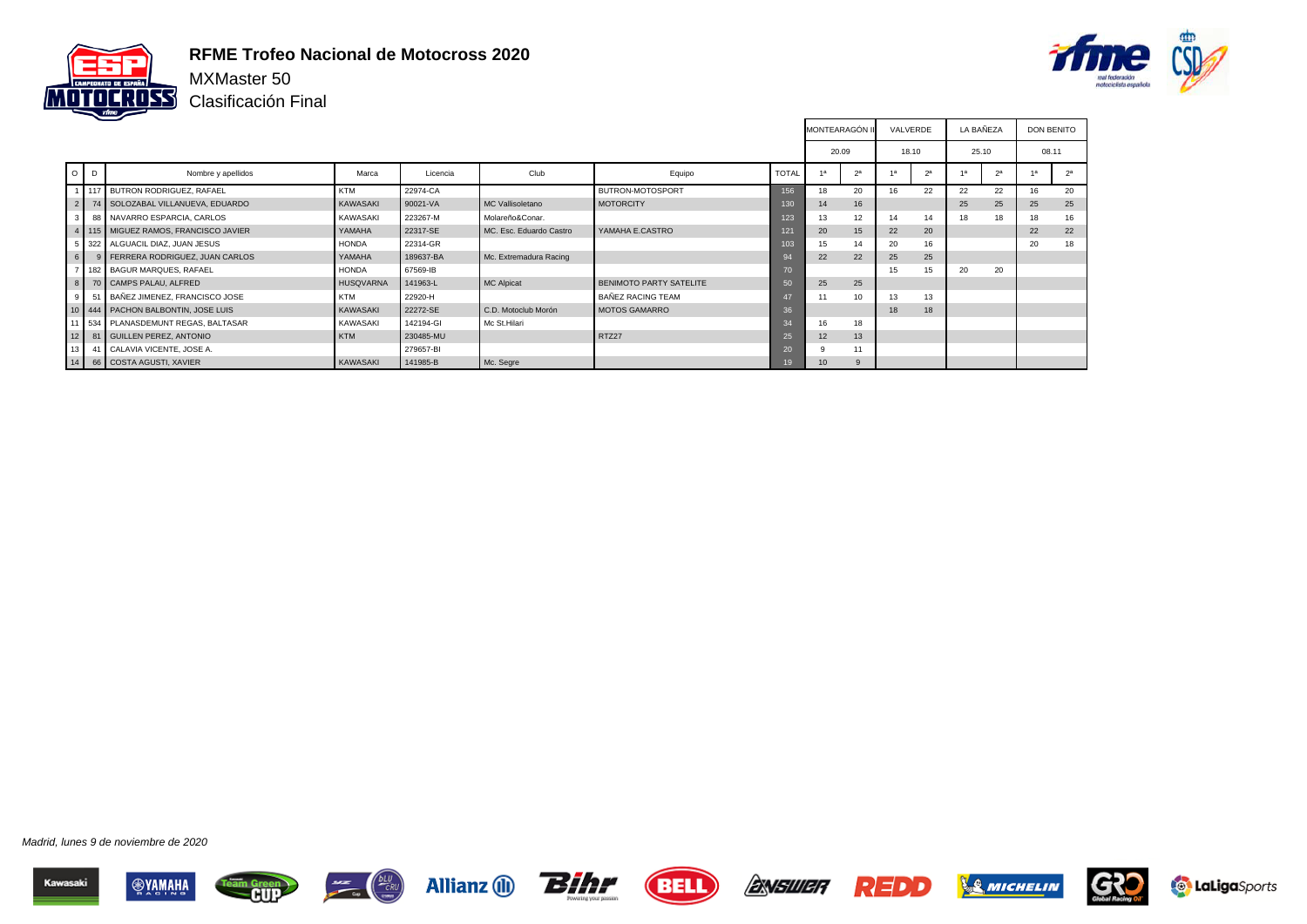

#### **RFME Trofeo Nacional de Motocross 2020**

Clasificación Final



|                |     |                                          |                  |           |                         |                          |              | <b>MONTEARAGÓN</b> |                | VALVERDE |             | LA BAÑEZA |                | <b>DON BENITO</b> |                |
|----------------|-----|------------------------------------------|------------------|-----------|-------------------------|--------------------------|--------------|--------------------|----------------|----------|-------------|-----------|----------------|-------------------|----------------|
|                |     |                                          |                  |           |                         |                          |              | 20.09              |                | 18.10    |             | 25.10     |                | 08.11             |                |
| $O$ $D$        |     | Nombre y apellidos                       | Marca            | Licencia  | Club                    | Equipo                   | <b>TOTAL</b> |                    | 2 <sup>a</sup> |          | $2^{\circ}$ |           | 2 <sup>a</sup> |                   | 2 <sup>a</sup> |
|                | 117 | BUTRON RODRIGUEZ, RAFAEL                 | <b>KTM</b>       | 22974-CA  |                         | BUTRON-MOTOSPORT         | 156          | 18                 | 20             | 16       | 22          | 22        | 22             | 16                | 20             |
| 2 <sup>1</sup> |     | 74 SOLOZABAL VILLANUEVA, EDUARDO         | KAWASAKI         | 90021-VA  | MC Vallisoletano        | <b>MOTORCITY</b>         | 130          | 14                 | 16             |          |             | 25        | 25             | 25                | 25             |
| 3 <sup>1</sup> |     | 88 NAVARRO ESPARCIA, CARLOS              | KAWASAKI         | 223267-M  | Molareño&Conar.         |                          | 123          | 13                 | 12             |          | 14          | 18        | 18             | 18                | 16             |
|                |     | 4   115   MIGUEZ RAMOS, FRANCISCO JAVIER | YAMAHA           | 22317-SE  | MC. Esc. Eduardo Castro | YAMAHA E.CASTRO          | 121          | 20                 | 15             | 22       | 20          |           |                | 22                | 22             |
|                |     | 5 322 ALGUACIL DIAZ, JUAN JESUS          | <b>HONDA</b>     | 22314-GR  |                         |                          | 103          | 15                 | 14             | 20       | 16          |           |                | 20                | 18             |
| 6              |     | 9   FERRERA RODRIGUEZ, JUAN CARLOS       | YAMAHA           | 189637-BA | Mc. Extremadura Racing  |                          | 94           | 22                 | 22             | 25       | 25          |           |                |                   |                |
| $\overline{ }$ |     | 182 BAGUR MARQUES, RAFAEL                | <b>HONDA</b>     | 67569-IB  |                         |                          | 70           |                    |                | 15       | 15          | 20        | 20             |                   |                |
|                |     | 8 70 CAMPS PALAU, ALFRED                 | <b>HUSQVARNA</b> | 141963-L  | <b>MC Alpicat</b>       | BENIMOTO PARTY SATELITE  | 50           | 25                 | 25             |          |             |           |                |                   |                |
| 9              |     | 51 BAÑEZ JIMENEZ, FRANCISCO JOSE         | <b>KTM</b>       | 22920-H   |                         | <b>BAÑEZ RACING TEAM</b> | 47           | 11                 | 10             | 13       | 13          |           |                |                   |                |
|                |     | 10 444 PACHON BALBONTIN, JOSE LUIS       | KAWASAKI         | 22272-SE  | C.D. Motoclub Morón     | <b>MOTOS GAMARRO</b>     | 36           |                    |                | 18       | 18          |           |                |                   |                |
|                |     | 11 534 PLANASDEMUNT REGAS, BALTASAR      | KAWASAKI         | 142194-GI | Mc St.Hilari            |                          | 34           | 16                 | 18             |          |             |           |                |                   |                |
| 12             |     | 81 GUILLEN PEREZ, ANTONIO                | <b>KTM</b>       | 230485-MU |                         | RTZ27                    | 25           | 12                 | 13             |          |             |           |                |                   |                |
| 13             |     | 41 CALAVIA VICENTE, JOSE A.              |                  | 279657-BI |                         |                          | 20           |                    | 11             |          |             |           |                |                   |                |
|                |     | 14 66 COSTA AGUSTI, XAVIER               | KAWASAKI         | 141985-B  | Mc. Segre               |                          | 19           | 10                 | 9              |          |             |           |                |                   |                |

















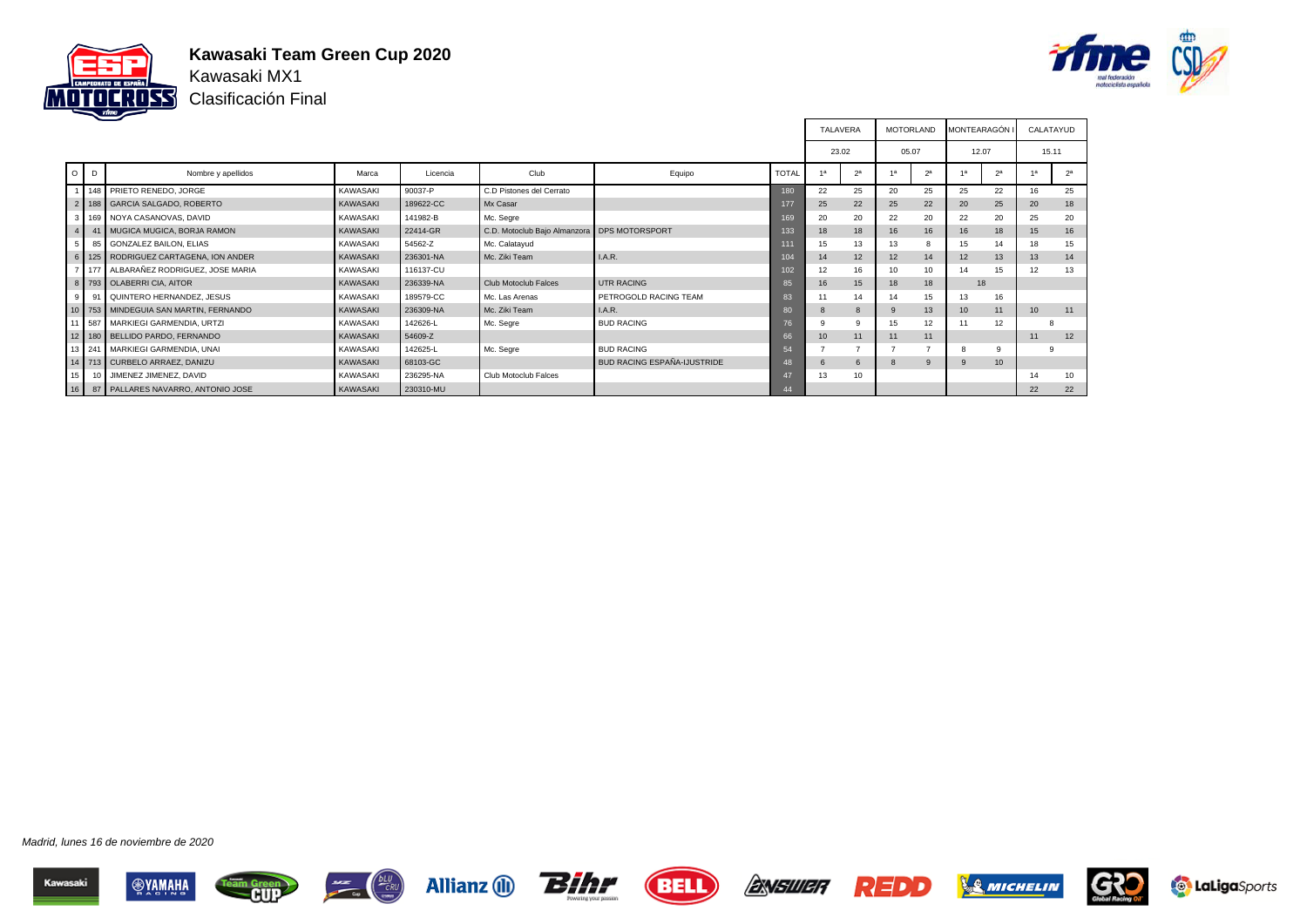

### **Kawasaki Team Green Cup 2020** Kawasaki MX1

Clasificación Final



|                 |   |                                           |                 |           |                                               |                                    |              |    | <b>TALAVERA</b> | <b>MOTORLAND</b> |                | <b>MONTEARAGÓN I</b> |                |                  | CALATAYUD      |
|-----------------|---|-------------------------------------------|-----------------|-----------|-----------------------------------------------|------------------------------------|--------------|----|-----------------|------------------|----------------|----------------------|----------------|------------------|----------------|
|                 |   |                                           |                 |           |                                               |                                    |              |    | 23.02           | 05.07            |                | 12.07                |                | 15.11            |                |
| $\circ$         | D | Nombre y apellidos                        | Marca           | Licencia  | Club                                          | Equipo                             | <b>TOTAL</b> |    | 2 <sup>a</sup>  |                  | 2 <sup>a</sup> |                      | 2 <sup>a</sup> |                  | 2 <sup>a</sup> |
|                 |   | 148 PRIETO RENEDO, JORGE                  | KAWASAKI        | 90037-P   | C.D Pistones del Cerrato                      |                                    | 180          | 22 | 25              | 20               | 25             | 25                   | 22             | 16               | 25             |
|                 |   | 2   188   GARCIA SALGADO, ROBERTO         | <b>KAWASAKI</b> | 189622-CC | Mx Casar                                      |                                    | 177          | 25 | 22              | 25               | 22             | 20                   | 25             | 20               | 18             |
| 3 <sup>1</sup>  |   | 169 NOYA CASANOVAS, DAVID                 | KAWASAKI        | 141982-B  | Mc. Segre                                     |                                    | 169          | 20 | 20              | 22               | 20             | 22                   | 20             | 25               | 20             |
| $\overline{4}$  |   | 41 MUGICA MUGICA, BORJA RAMON             | <b>KAWASAKI</b> | 22414-GR  | C.D. Motoclub Bajo Almanzora   DPS MOTORSPORT |                                    | 133          | 18 | 18              | 16               | 16             | 16                   | 18             | 15               | 16             |
| 5               |   | 85 GONZALEZ BAILON, ELIAS                 | <b>KAWASAKI</b> | 54562-Z   | Mc. Calatayud                                 |                                    | 111          | 15 | 13              | 13               |                | 15                   | 14             | 18               | 15             |
|                 |   | 6   125   RODRIGUEZ CARTAGENA, ION ANDER  | <b>KAWASAKI</b> | 236301-NA | Mc. Ziki Team                                 | I.A.R.                             | 104          | 14 | 12              | 12               | 14             | 12                   | 13             | 13               | 14             |
|                 |   | 7 177 ALBARAÑEZ RODRIGUEZ, JOSE MARIA     | <b>KAWASAKI</b> | 116137-CU |                                               |                                    | 102          | 12 | 16              | 10               | 10             | 14                   | 15             | 12               | 13             |
|                 |   | 8   793   OLABERRI CIA, AITOR             | <b>KAWASAKI</b> | 236339-NA | Club Motoclub Falces                          | <b>UTR RACING</b>                  | 85           | 16 | 15              | 18               | 18             | 18                   |                |                  |                |
| 9 <sup>1</sup>  |   | 91 QUINTERO HERNANDEZ, JESUS              | KAWASAKI        | 189579-CC | Mc. Las Arenas                                | PETROGOLD RACING TEAM              | 83           |    | 14              | 14               | 15             | 13                   | 16             |                  |                |
|                 |   | 10   753   MINDEGUIA SAN MARTIN, FERNANDO | <b>KAWASAKI</b> | 236309-NA | Mc. Ziki Team                                 | I.A.R.                             | 80           | 8  | 8               |                  | 13             | 10                   | 11             | 10 <sup>10</sup> | 11             |
|                 |   | 11 587 MARKIEGI GARMENDIA, URTZI          | <b>KAWASAKI</b> | 142626-L  | Mc. Segre                                     | <b>BUD RACING</b>                  | 76           |    | 9               | 15               | 12             | 11                   | 12             |                  |                |
|                 |   | 12   180   BELLIDO PARDO, FERNANDO        | <b>KAWASAKI</b> | 54609-Z   |                                               |                                    | 66           | 10 | 11              | 11               | 11             |                      |                | 11               | 12             |
|                 |   | 13 241 MARKIEGI GARMENDIA, UNAI           | <b>KAWASAKI</b> | 142625-L  | Mc. Segre                                     | <b>BUD RACING</b>                  | 54           |    |                 |                  |                | 8                    | 9              |                  | 9              |
|                 |   | 14   713   CURBELO ARRAEZ, DANIZU         | <b>KAWASAKI</b> | 68103-GC  |                                               | <b>BUD RACING ESPAÑA-IJUSTRIDE</b> | 48           |    | 6               |                  | 9              | 9                    | 10             |                  |                |
| 15 <sup>1</sup> |   | 10 JIMENEZ JIMENEZ, DAVID                 | <b>KAWASAKI</b> | 236295-NA | Club Motoclub Falces                          |                                    | 47           | 13 | 10              |                  |                |                      |                | 14               | 10             |
| 16              |   | 87   PALLARES NAVARRO, ANTONIO JOSE       | KAWASAKI        | 230310-MU |                                               |                                    | 44           |    |                 |                  |                |                      |                | 22               | 22             |

Madrid, lunes 16 de noviembre de 2020















F

т

т



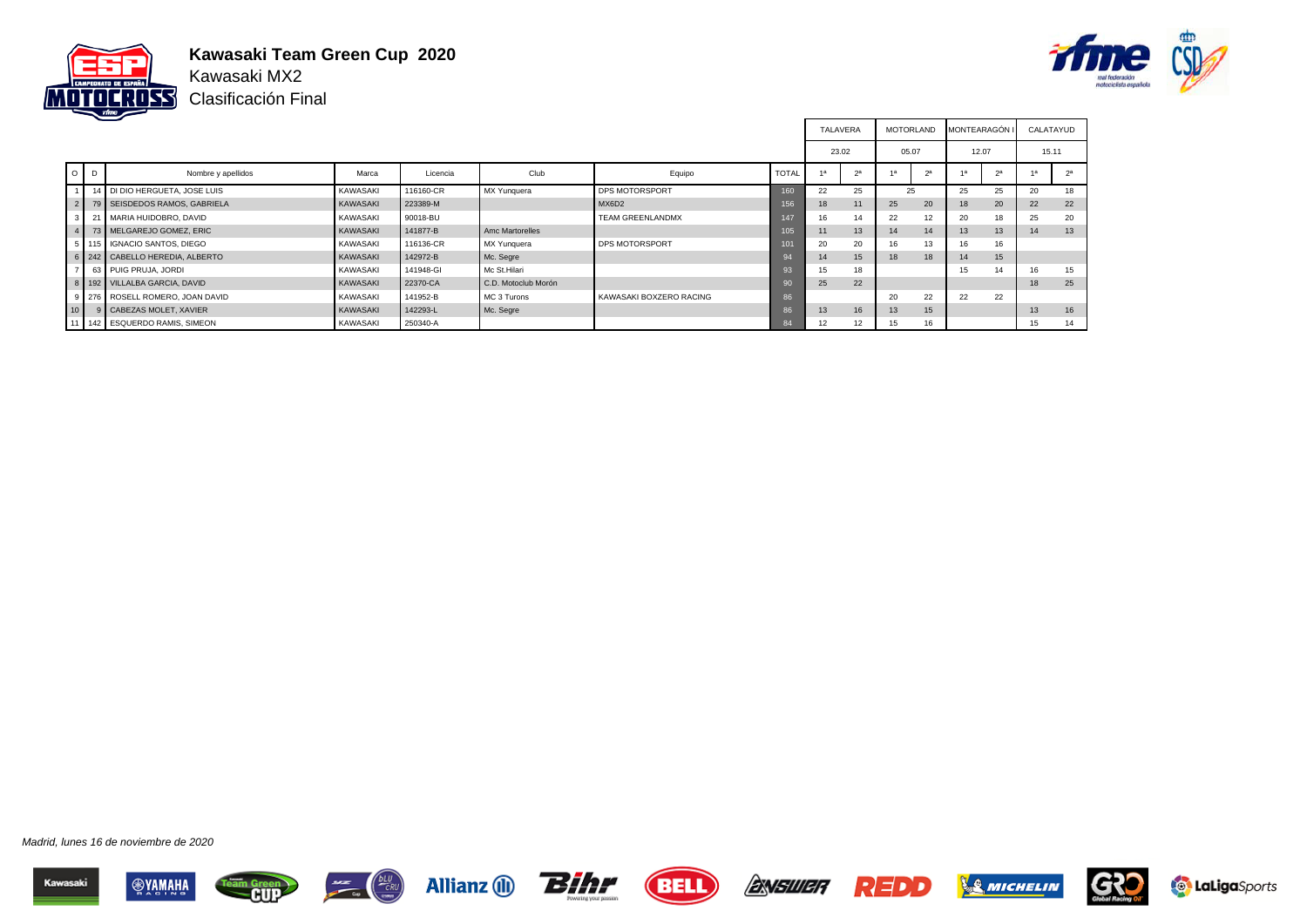

### **Kawasaki Team Green Cup 2020** Kawasaki MX2

Clasificación Final



|                 |        |                                   |                 |           |                     |                         |              | <b>TALAVERA</b> |                | <b>MOTORLAND</b> |                | <b>MONTEARAGÓN I</b> |    | CALATAYUD |                |
|-----------------|--------|-----------------------------------|-----------------|-----------|---------------------|-------------------------|--------------|-----------------|----------------|------------------|----------------|----------------------|----|-----------|----------------|
|                 |        |                                   |                 |           |                     |                         |              | 23.02           |                | 05.07            |                | 12.07                |    | 15.11     |                |
| $\circ$         | D      | Nombre y apellidos                | Marca           | Licencia  | Club                | Equipo                  | <b>TOTAL</b> | 1a              | 2 <sup>a</sup> |                  | 2 <sup>a</sup> | 1a                   | 2a |           | 2 <sup>a</sup> |
|                 |        | 14 DI DIO HERGUETA, JOSE LUIS     | <b>KAWASAKI</b> | 116160-CR | MX Yunquera         | <b>DPS MOTORSPORT</b>   | 160          | 22              | 25             | 25               |                | 25                   | 25 | 20        | 18             |
|                 |        | 2 79 SEISDEDOS RAMOS, GABRIELA    | <b>KAWASAKI</b> | 223389-M  |                     | MX6D2                   | 156          | 18              | 11             | 25               | 20             | 18                   | 20 | 22        | 22             |
| 3 <sup>1</sup>  | $21 -$ | MARIA HUIDOBRO, DAVID             | <b>KAWASAKI</b> | 90018-BU  |                     | <b>TEAM GREENLANDMX</b> | 147          | 16              | 14             | 22               | 12             | 20                   | 18 | 25        | 20             |
|                 |        | 4   73   MELGAREJO GOMEZ, ERIC    | KAWASAKI        | 141877-B  | Amc Martorelles     |                         | 105          |                 | 13             | 14               | 14             | 13                   | 13 | 14        | 13             |
|                 |        | 5 115 GNACIO SANTOS, DIEGO        | <b>KAWASAKI</b> | 116136-CR | MX Yunguera         | <b>DPS MOTORSPORT</b>   | 101          | 20              | 20             | 16               | 13             | 16                   | 16 |           |                |
|                 |        | 6 242 CABELLO HEREDIA, ALBERTO    | KAWASAKI        | 142972-B  | Mc. Segre           |                         | 94           | 14              | 15             | 18               | 18             | 14                   | 15 |           |                |
|                 |        | 63 PUIG PRUJA, JORDI              | <b>KAWASAKI</b> | 141948-GI | Mc St.Hilari        |                         | 93           | 15              | 18             |                  |                | 15                   | 14 | 16        | 15             |
|                 |        | 8   192   VILLALBA GARCIA, DAVID  | KAWASAKI        | 22370-CA  | C.D. Motoclub Morón |                         | 90           | 25              | 22             |                  |                |                      |    | 18        | 25             |
|                 |        | 9 276 ROSELL ROMERO, JOAN DAVID   | <b>KAWASAKI</b> | 141952-B  | MC 3 Turons         | KAWASAKI BOXZERO RACING | 86           |                 |                | 20               | 22             | 22                   | 22 |           |                |
| 10 <sup>1</sup> |        | 9 CABEZAS MOLET, XAVIER           | <b>KAWASAKI</b> | 142293-L  | Mc. Segre           |                         | 86           | 13              | 16             | 13               | 15             |                      |    | 13        | 16             |
|                 |        | 11   142   ESQUERDO RAMIS, SIMEON | KAWASAKI        | 250340-A  |                     |                         | 84           | 12              | 12             | 15               | 16             |                      |    | 15        | 14             |

















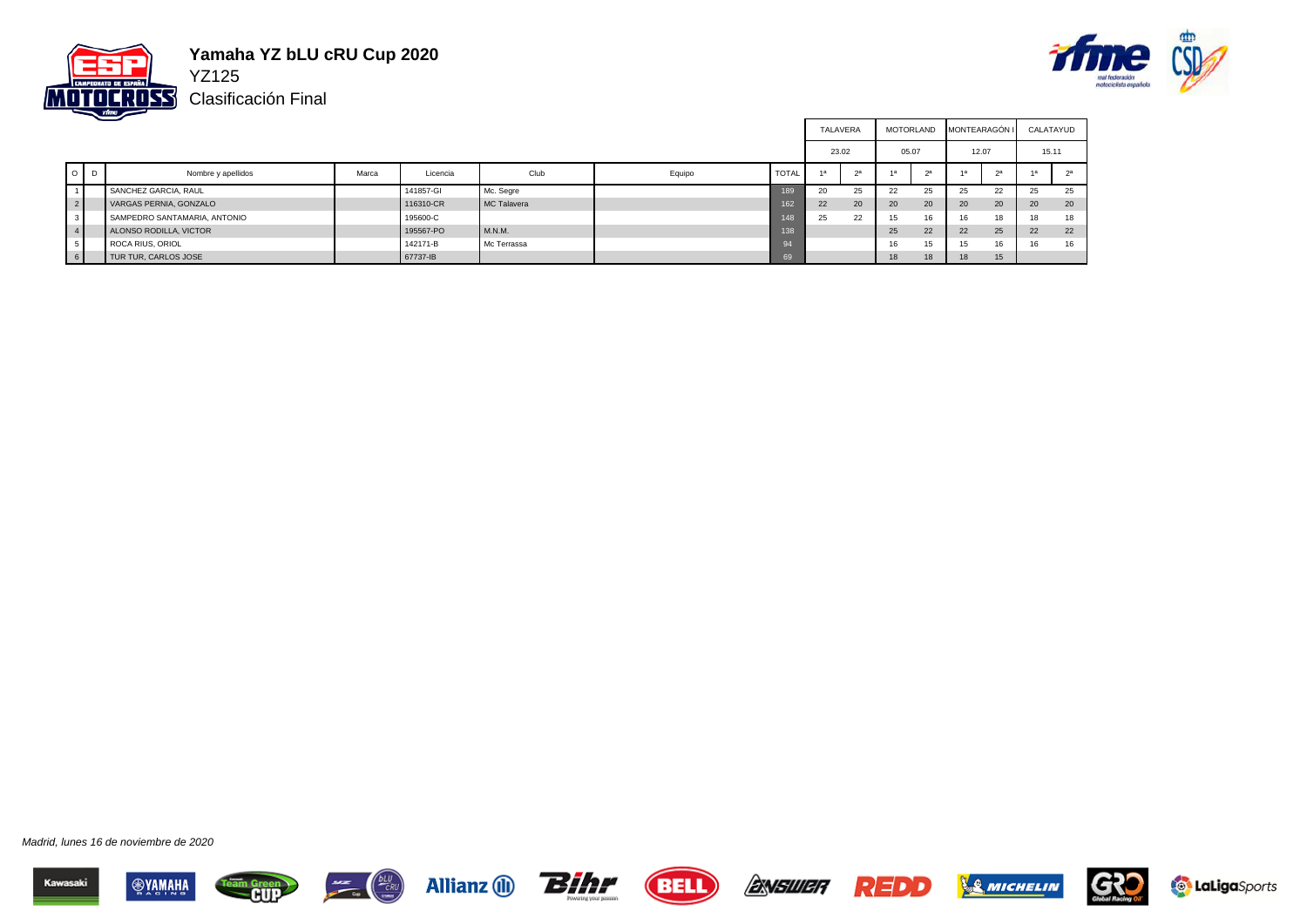

# **Yamaha YZ bLU cRU Cup 2020**





|                |         |                              |       |           |             |        |              | TALAVERA |       | MOTORLAND |    |       | MONTEARAGÓN I |       | CALATAYUD |
|----------------|---------|------------------------------|-------|-----------|-------------|--------|--------------|----------|-------|-----------|----|-------|---------------|-------|-----------|
|                |         |                              |       |           |             |        |              | 23.02    |       | 05.07     |    | 12.07 |               | 15.11 |           |
|                | $O$ $D$ | Nombre y apellidos           | Marca | Licencia  | Club        | Equipo | <b>TOTAL</b> | 1a       | $2^a$ |           | 2a |       | 2a            |       | 2a        |
|                |         | SANCHEZ GARCIA, RAUL         |       | 141857-GI | Mc. Segre   |        | 189          | 20       | 25    | 22        | 25 | 25    | 22            | 25    | 25        |
| $2 \nvert$     |         | VARGAS PERNIA, GONZALO       |       | 116310-CR | MC Talavera |        | 162          | 22       | 20    | 20        | 20 | 20    | 20            | 20    | 20        |
| 3              |         | SAMPEDRO SANTAMARIA, ANTONIO |       | 195600-C  |             |        | 148          | 25       | 22    | 15        | 16 | 16    | 18            | 18    | 18        |
| $\overline{4}$ |         | ALONSO RODILLA, VICTOR       |       | 195567-PO | M.N.M.      |        | 138          |          |       | 25        | 22 | 22    | 25            | 22    | 22        |
| 5              |         | ROCA RIUS, ORIOL             |       | 142171-B  | Mc Terrassa |        | 94           |          |       | 16        | 15 | 15    | 16            | 16    | 16        |
|                |         | TUR TUR, CARLOS JOSE         |       | 67737-IB  |             |        | 69           |          |       | 18        | 18 | 18    | 15            |       |           |

















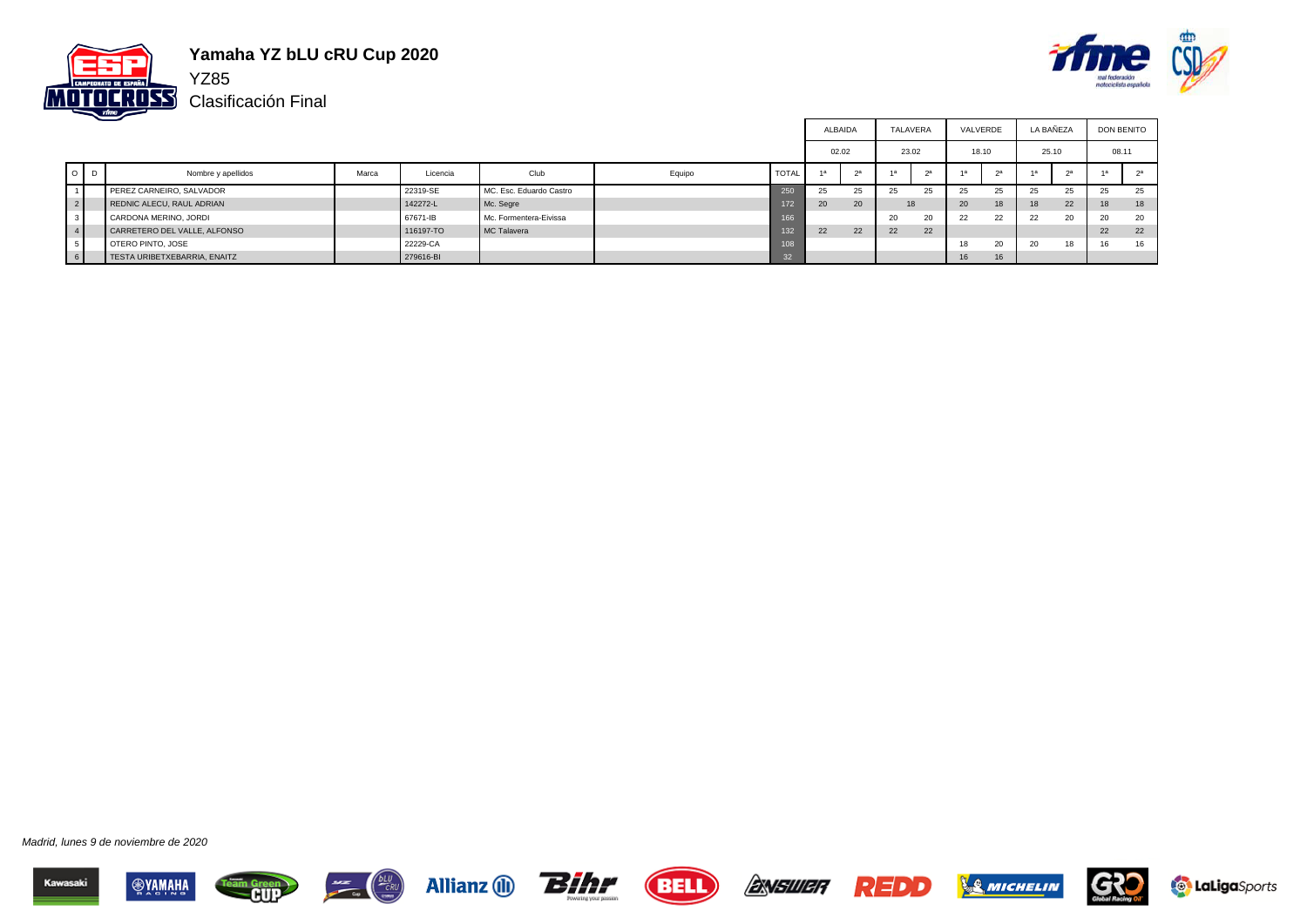

# **Yamaha YZ bLU cRU Cup 2020**

Clasificación Final



|                 |         |                              |       |           |                         |        |              |       |                |    | TALAVERA      | VALVERDE |    | LA BAÑEZA |        | <b>DON BENITO</b> |    |
|-----------------|---------|------------------------------|-------|-----------|-------------------------|--------|--------------|-------|----------------|----|---------------|----------|----|-----------|--------|-------------------|----|
|                 |         |                              |       |           |                         |        |              | 02.02 |                |    | 23.02         | 18.10    |    | 25.10     |        | 08.11             |    |
|                 | $O$ $D$ | Nombre y apellidos           | Marca | Licencia  | Club                    | Equipo | <b>TOTAL</b> |       | 2 <sup>a</sup> |    | 2a            | 1a       |    |           | $\sim$ |                   |    |
|                 |         | PEREZ CARNEIRO, SALVADOR     |       | 22319-SE  | MC. Esc. Eduardo Castro |        | 250          | 25    | 25             | 25 | 25            | 25       | 25 | 25        | 25     | 25                | 25 |
| 2               |         | REDNIC ALECU, RAUL ADRIAN    |       | 142272-L  | Mc. Segre               |        | 172          | 20    | 20             |    | 18            | 20       | 18 | 18        | 22     | 18                | 18 |
| $\sim$<br>- 3-1 |         | CARDONA MERINO, JORDI        |       | 67671-IB  | Mc. Formentera-Eivissa  |        | 166          |       |                | 20 | $\sim$<br>ZU. | 22       | 22 | 22        | 20     | 20                | 20 |
| $\overline{4}$  |         | CARRETERO DEL VALLE, ALFONSO |       | 116197-TO | MC Talavera             |        | 132          | 22    | 22             | 22 | 22            |          |    |           |        | 22                | 22 |
| . ບ 1           |         | OTERO PINTO, JOSE            |       | 22229-CA  |                         |        | 108          |       |                |    |               | 18       | 20 | 20        | 18     | 16.               | 16 |
| 6               |         | TESTA URIBETXEBARRIA, ENAITZ |       | 279616-BI |                         |        | 32           |       |                |    |               | 16       | 16 |           |        |                   |    |